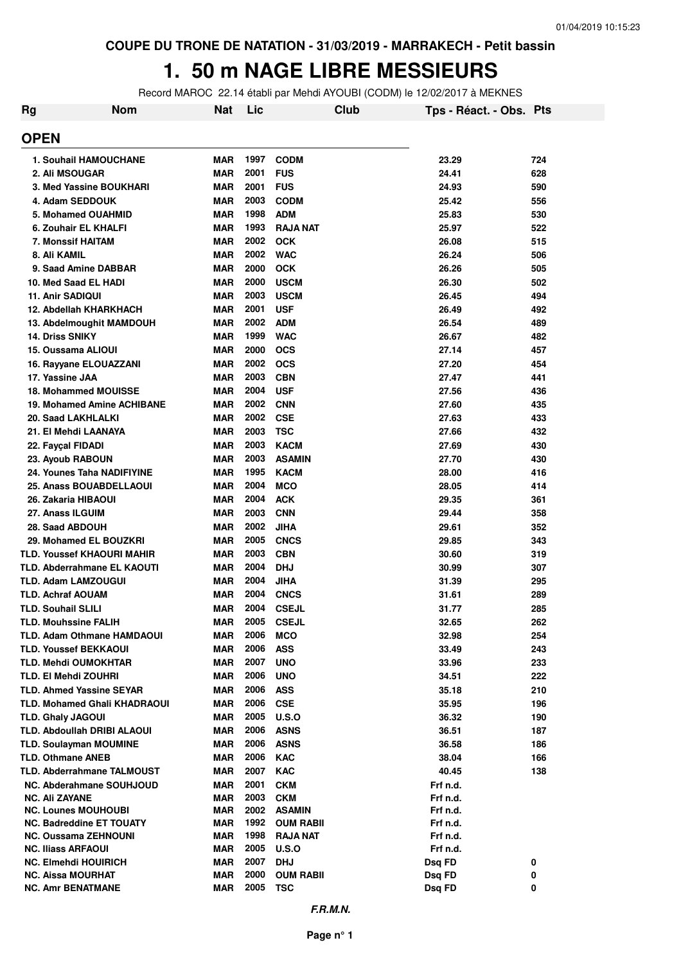#### **1. 50 m NAGE LIBRE MESSIEURS**

Record MAROC 22.14 établi par Mehdi AYOUBI (CODM) le 12/02/2017 à MEKNES

| Rg | <b>Nom</b>                                             | <b>Nat</b>               | Lic          | Club                | Tps - Réact. - Obs. Pts |            |
|----|--------------------------------------------------------|--------------------------|--------------|---------------------|-------------------------|------------|
|    | <b>OPEN</b>                                            |                          |              |                     |                         |            |
|    | <b>1. Souhail HAMOUCHANE</b>                           | <b>MAR</b>               | 1997         | <b>CODM</b>         | 23.29                   | 724        |
|    | 2. Ali MSOUGAR                                         | <b>MAR</b>               | 2001         | <b>FUS</b>          | 24.41                   | 628        |
|    | 3. Med Yassine BOUKHARI                                | <b>MAR</b>               | 2001         | <b>FUS</b>          | 24.93                   | 590        |
|    | 4. Adam SEDDOUK                                        | <b>MAR</b>               | 2003         | <b>CODM</b>         | 25.42                   | 556        |
|    | 5. Mohamed OUAHMID                                     | <b>MAR</b>               | 1998         | <b>ADM</b>          | 25.83                   | 530        |
|    | 6. Zouhair EL KHALFI                                   | <b>MAR</b>               | 1993         | <b>RAJA NAT</b>     | 25.97                   | 522        |
|    | 7. Monssif HAITAM                                      | <b>MAR</b>               | 2002         | <b>OCK</b>          | 26.08                   | 515        |
|    | 8. Ali KAMIL                                           | <b>MAR</b>               | 2002         | <b>WAC</b>          | 26.24                   | 506        |
|    | 9. Saad Amine DABBAR                                   | <b>MAR</b>               | 2000         | <b>OCK</b>          | 26.26                   | 505        |
|    | 10. Med Saad EL HADI                                   | <b>MAR</b>               | 2000         | <b>USCM</b>         | 26.30                   | 502        |
|    | 11. Anir SADIQUI                                       | <b>MAR</b>               | 2003         | <b>USCM</b>         | 26.45                   | 494        |
|    | 12. Abdellah KHARKHACH                                 | <b>MAR</b>               | 2001         | <b>USF</b>          | 26.49                   | 492        |
|    | 13. Abdelmoughit MAMDOUH                               | <b>MAR</b>               | 2002         | <b>ADM</b>          | 26.54                   | 489        |
|    | <b>14. Driss SNIKY</b>                                 | <b>MAR</b>               | 1999         | <b>WAC</b>          | 26.67                   | 482        |
|    | 15. Oussama ALIOUI                                     | <b>MAR</b>               | 2000         | <b>OCS</b>          | 27.14                   | 457        |
|    | 16. Rayyane ELOUAZZANI                                 | <b>MAR</b>               | 2002         | <b>OCS</b>          | 27.20                   | 454        |
|    | 17. Yassine JAA                                        | <b>MAR</b>               | 2003         | <b>CBN</b>          | 27.47                   | 441        |
|    | <b>18. Mohammed MOUISSE</b>                            | <b>MAR</b>               | 2004         | <b>USF</b>          | 27.56                   | 436        |
|    | 19. Mohamed Amine ACHIBANE                             | <b>MAR</b>               | 2002         | <b>CNN</b>          | 27.60                   | 435        |
|    | 20. Saad LAKHLALKI                                     | <b>MAR</b>               | 2002         | <b>CSE</b>          | 27.63                   | 433        |
|    | 21. El Mehdi LAANAYA                                   | <b>MAR</b>               | 2003         | <b>TSC</b>          | 27.66                   | 432        |
|    | 22. Fayçal FIDADI                                      | <b>MAR</b>               | 2003         | <b>KACM</b>         | 27.69                   | 430        |
|    | 23. Ayoub RABOUN                                       | <b>MAR</b>               | 2003         | <b>ASAMIN</b>       | 27.70                   | 430        |
|    | 24. Younes Taha NADIFIYINE                             | <b>MAR</b>               | 1995         | <b>KACM</b>         | 28.00                   | 416        |
|    | 25. Anass BOUABDELLAOUI                                | <b>MAR</b>               | 2004         | <b>MCO</b>          | 28.05                   | 414        |
|    | 26. Zakaria HIBAOUI                                    | <b>MAR</b>               | 2004         | <b>ACK</b>          | 29.35                   | 361        |
|    | 27. Anass ILGUIM                                       | <b>MAR</b>               | 2003         | <b>CNN</b>          | 29.44                   | 358        |
|    | 28. Saad ABDOUH                                        | <b>MAR</b>               | 2002         | JIHA                | 29.61                   | 352        |
|    | 29. Mohamed EL BOUZKRI                                 | <b>MAR</b>               | 2005         | <b>CNCS</b>         | 29.85                   | 343        |
|    | <b>TLD. Youssef KHAOURI MAHIR</b>                      | <b>MAR</b>               | 2003         | <b>CBN</b>          | 30.60                   | 319        |
|    | <b>TLD. Abderrahmane EL KAOUTI</b>                     | <b>MAR</b><br><b>MAR</b> | 2004<br>2004 | <b>DHJ</b>          | 30.99                   | 307        |
|    | <b>TLD. Adam LAMZOUGUI</b><br><b>TLD. Achraf AOUAM</b> | <b>MAR</b>               | 2004         | JIHA<br><b>CNCS</b> | 31.39<br>31.61          | 295<br>289 |
|    | <b>TLD. Souhail SLILI</b>                              | <b>MAR</b>               | 2004         | <b>CSEJL</b>        | 31.77                   | 285        |
|    | <b>TLD. Mouhssine FALIH</b>                            | <b>MAR</b>               | 2005         | <b>CSEJL</b>        | 32.65                   | 262        |
|    | <b>TLD. Adam Othmane HAMDAOUI</b>                      | <b>MAR</b>               | 2006         | <b>MCO</b>          | 32.98                   | 254        |
|    | <b>TLD. Youssef BEKKAOUI</b>                           | <b>MAR</b>               | 2006         | ASS                 | 33.49                   | 243        |
|    | <b>TLD. Mehdi OUMOKHTAR</b>                            | <b>MAR</b>               | 2007         | <b>UNO</b>          | 33.96                   | 233        |
|    | <b>TLD. EI Mehdi ZOUHRI</b>                            | <b>MAR</b>               | 2006         | <b>UNO</b>          | 34.51                   | 222        |
|    | <b>TLD. Ahmed Yassine SEYAR</b>                        | <b>MAR</b>               | 2006         | ASS                 | 35.18                   | 210        |
|    | <b>TLD. Mohamed Ghali KHADRAOUI</b>                    | <b>MAR</b>               | 2006         | <b>CSE</b>          | 35.95                   | 196        |
|    | <b>TLD. Ghaly JAGOUI</b>                               | <b>MAR</b>               | 2005         | U.S.O               | 36.32                   | 190        |
|    | <b>TLD. Abdoullah DRIBI ALAOUI</b>                     | <b>MAR</b>               | 2006         | <b>ASNS</b>         | 36.51                   | 187        |
|    | <b>TLD. Soulayman MOUMINE</b>                          | <b>MAR</b>               | 2006         | <b>ASNS</b>         | 36.58                   | 186        |
|    | <b>TLD. Othmane ANEB</b>                               | <b>MAR</b>               | 2006         | <b>KAC</b>          | 38.04                   | 166        |
|    | <b>TLD. Abderrahmane TALMOUST</b>                      | <b>MAR</b>               | 2007         | <b>KAC</b>          | 40.45                   | 138        |
|    | <b>NC. Abderahmane SOUHJOUD</b>                        | <b>MAR</b>               | 2001         | <b>CKM</b>          | Frf n.d.                |            |
|    | <b>NC. Ali ZAYANE</b>                                  | <b>MAR</b>               | 2003         | <b>CKM</b>          | Frf n.d.                |            |
|    | <b>NC. Lounes MOUHOUBI</b>                             | <b>MAR</b>               | 2002         | <b>ASAMIN</b>       | Frf n.d.                |            |
|    | <b>NC. Badreddine ET TOUATY</b>                        | <b>MAR</b>               | 1992         | <b>OUM RABII</b>    | Frf n.d.                |            |
|    | <b>NC. Oussama ZEHNOUNI</b>                            | <b>MAR</b>               | 1998         | <b>RAJA NAT</b>     | Frf n.d.                |            |
|    | <b>NC. Iliass ARFAOUI</b>                              | <b>MAR</b>               | 2005         | <b>U.S.O</b>        | Frf n.d.                |            |
|    | <b>NC. Elmehdi HOUIRICH</b>                            | <b>MAR</b>               | 2007         | <b>DHJ</b>          | Dsq FD                  | 0          |
|    | NC. Aissa MOURHAT                                      | <b>MAR</b>               | 2000         | <b>OUM RABII</b>    | Dsq FD                  | 0          |
|    | <b>NC. Amr BENATMANE</b>                               | MAR                      | 2005         | <b>TSC</b>          | Dsq FD                  | 0          |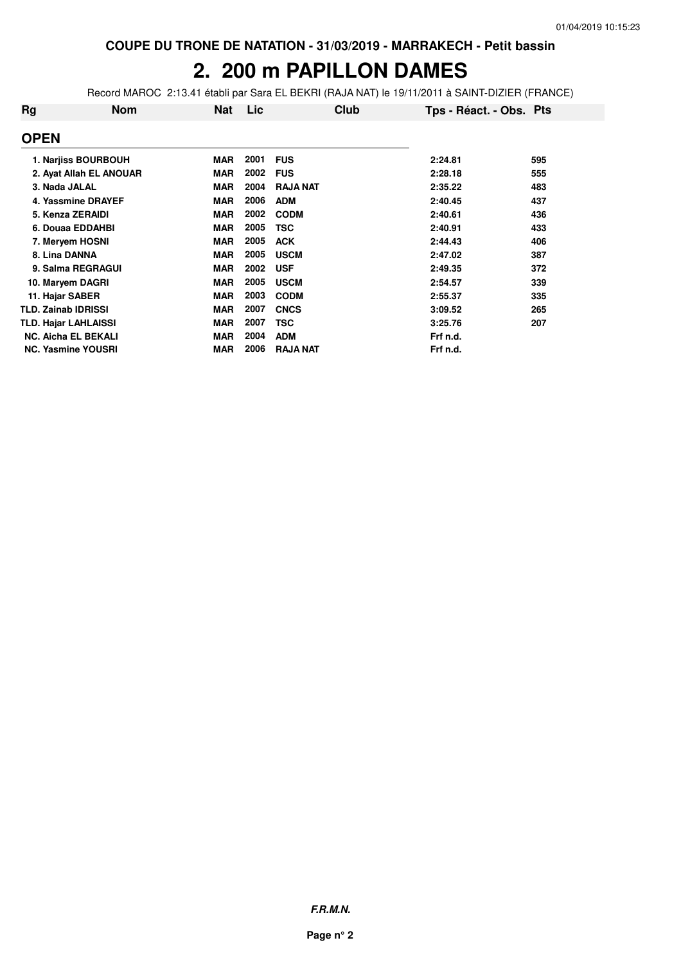# **2. 200 m PAPILLON DAMES**

Record MAROC 2:13.41 établi par Sara EL BEKRI (RAJA NAT) le 19/11/2011 à SAINT-DIZIER (FRANCE)

| <b>Rg</b>                   | Nom                        | Nat        | Lic  | Club            | Tps - Réact. - Obs. Pts |     |
|-----------------------------|----------------------------|------------|------|-----------------|-------------------------|-----|
| <b>OPEN</b>                 |                            |            |      |                 |                         |     |
|                             | 1. Narjiss BOURBOUH        | <b>MAR</b> | 2001 | <b>FUS</b>      | 2:24.81                 | 595 |
|                             | 2. Ayat Allah EL ANOUAR    | <b>MAR</b> | 2002 | <b>FUS</b>      | 2:28.18                 | 555 |
| 3. Nada JALAL               |                            | <b>MAR</b> | 2004 | <b>RAJA NAT</b> | 2:35.22                 | 483 |
|                             | 4. Yassmine DRAYEF         | <b>MAR</b> | 2006 | <b>ADM</b>      | 2:40.45                 | 437 |
| 5. Kenza ZERAIDI            |                            | <b>MAR</b> | 2002 | <b>CODM</b>     | 2:40.61                 | 436 |
|                             | 6. Douaa EDDAHBI           | <b>MAR</b> | 2005 | <b>TSC</b>      | 2:40.91                 | 433 |
|                             | 7. Meryem HOSNI            | <b>MAR</b> | 2005 | <b>ACK</b>      | 2:44.43                 | 406 |
| 8. Lina DANNA               |                            | <b>MAR</b> | 2005 | <b>USCM</b>     | 2:47.02                 | 387 |
|                             | 9. Salma REGRAGUI          | <b>MAR</b> | 2002 | <b>USF</b>      | 2:49.35                 | 372 |
| 10. Maryem DAGRI            |                            | <b>MAR</b> | 2005 | <b>USCM</b>     | 2:54.57                 | 339 |
| 11. Hajar SABER             |                            | <b>MAR</b> | 2003 | <b>CODM</b>     | 2:55.37                 | 335 |
| <b>TLD. Zainab IDRISSI</b>  |                            | <b>MAR</b> | 2007 | <b>CNCS</b>     | 3:09.52                 | 265 |
| <b>TLD. Hajar LAHLAISSI</b> |                            | <b>MAR</b> | 2007 | <b>TSC</b>      | 3:25.76                 | 207 |
|                             | <b>NC. Aicha EL BEKALI</b> | <b>MAR</b> | 2004 | <b>ADM</b>      | Frf n.d.                |     |
| <b>NC. Yasmine YOUSRI</b>   |                            | <b>MAR</b> | 2006 | <b>RAJA NAT</b> | Frf n.d.                |     |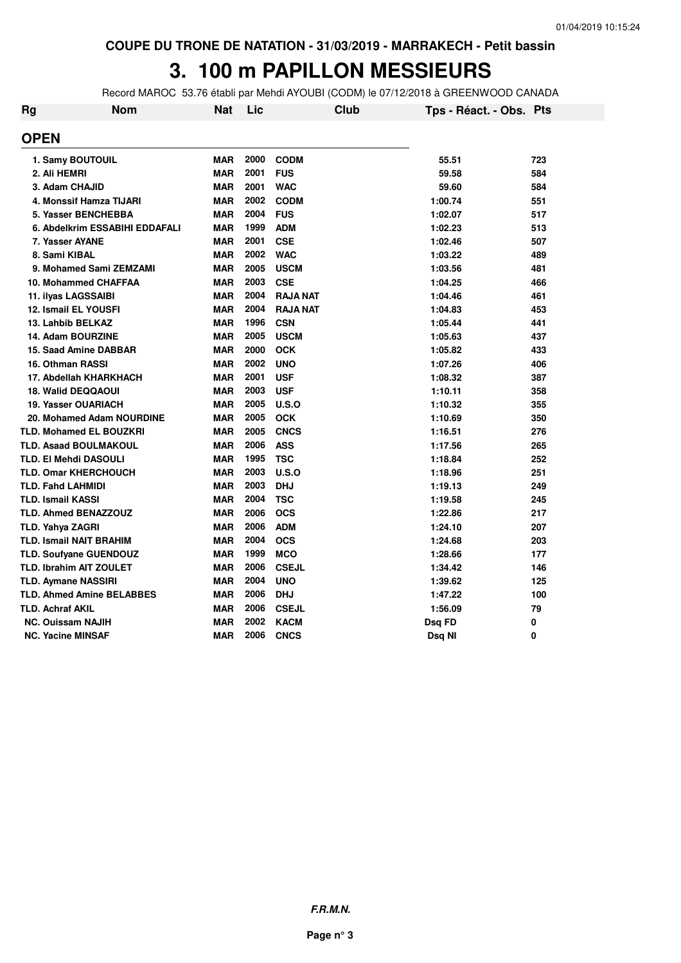# **3. 100 m PAPILLON MESSIEURS**

Record MAROC 53.76 établi par Mehdi AYOUBI (CODM) le 07/12/2018 à GREENWOOD CANADA

| <b>Rg</b> | <b>Nom</b>                       | <b>Nat</b> | Lic  |                 | <b>Club</b> | Tps - Réact. - Obs. Pts |     |
|-----------|----------------------------------|------------|------|-----------------|-------------|-------------------------|-----|
|           | <b>OPEN</b>                      |            |      |                 |             |                         |     |
|           | 1. Samy BOUTOUIL                 | <b>MAR</b> | 2000 | <b>CODM</b>     |             | 55.51                   | 723 |
|           | 2. Ali HEMRI                     | <b>MAR</b> | 2001 | <b>FUS</b>      |             | 59.58                   | 584 |
|           | 3. Adam CHAJID                   | <b>MAR</b> | 2001 | <b>WAC</b>      |             | 59.60                   | 584 |
|           | 4. Monssif Hamza TIJARI          | <b>MAR</b> | 2002 | <b>CODM</b>     |             | 1:00.74                 | 551 |
|           | 5. Yasser BENCHEBBA              | <b>MAR</b> | 2004 | <b>FUS</b>      |             | 1:02.07                 | 517 |
|           | 6. Abdelkrim ESSABIHI EDDAFALI   | <b>MAR</b> | 1999 | <b>ADM</b>      |             | 1:02.23                 | 513 |
|           | 7. Yasser AYANE                  | <b>MAR</b> | 2001 | <b>CSE</b>      |             | 1:02.46                 | 507 |
|           | 8. Sami KIBAL                    | <b>MAR</b> | 2002 | <b>WAC</b>      |             | 1:03.22                 | 489 |
|           | 9. Mohamed Sami ZEMZAMI          | <b>MAR</b> | 2005 | <b>USCM</b>     |             | 1:03.56                 | 481 |
|           | 10. Mohammed CHAFFAA             | <b>MAR</b> | 2003 | <b>CSE</b>      |             | 1:04.25                 | 466 |
|           | 11. ilyas LAGSSAIBI              | <b>MAR</b> | 2004 | <b>RAJA NAT</b> |             | 1:04.46                 | 461 |
|           | 12. Ismail EL YOUSFI             | <b>MAR</b> | 2004 | <b>RAJA NAT</b> |             | 1:04.83                 | 453 |
|           | 13. Lahbib BELKAZ                | <b>MAR</b> | 1996 | <b>CSN</b>      |             | 1:05.44                 | 441 |
|           | 14. Adam BOURZINE                | <b>MAR</b> | 2005 | <b>USCM</b>     |             | 1:05.63                 | 437 |
|           | 15. Saad Amine DABBAR            | <b>MAR</b> | 2000 | <b>OCK</b>      |             | 1:05.82                 | 433 |
|           | <b>16. Othman RASSI</b>          | <b>MAR</b> | 2002 | <b>UNO</b>      |             | 1:07.26                 | 406 |
|           | 17. Abdellah KHARKHACH           | <b>MAR</b> | 2001 | <b>USF</b>      |             | 1:08.32                 | 387 |
|           | 18. Walid DEQQAOUI               | <b>MAR</b> | 2003 | <b>USF</b>      |             | 1:10.11                 | 358 |
|           | 19. Yasser OUARIACH              | <b>MAR</b> | 2005 | U.S.O           |             | 1:10.32                 | 355 |
|           | 20. Mohamed Adam NOURDINE        | <b>MAR</b> | 2005 | <b>OCK</b>      |             | 1:10.69                 | 350 |
|           | <b>TLD. Mohamed EL BOUZKRI</b>   | <b>MAR</b> | 2005 | <b>CNCS</b>     |             | 1:16.51                 | 276 |
|           | <b>TLD. Asaad BOULMAKOUL</b>     | <b>MAR</b> | 2006 | <b>ASS</b>      |             | 1:17.56                 | 265 |
|           | <b>TLD. EI Mehdi DASOULI</b>     | <b>MAR</b> | 1995 | <b>TSC</b>      |             | 1:18.84                 | 252 |
|           | <b>TLD. Omar KHERCHOUCH</b>      | <b>MAR</b> | 2003 | U.S.O           |             | 1:18.96                 | 251 |
|           | <b>TLD. Fahd LAHMIDI</b>         | <b>MAR</b> | 2003 | <b>DHJ</b>      |             | 1:19.13                 | 249 |
|           | <b>TLD. Ismail KASSI</b>         | <b>MAR</b> | 2004 | <b>TSC</b>      |             | 1:19.58                 | 245 |
|           | TLD. Ahmed BENAZZOUZ             | <b>MAR</b> | 2006 | <b>OCS</b>      |             | 1:22.86                 | 217 |
|           | TLD. Yahya ZAGRI                 | <b>MAR</b> | 2006 | <b>ADM</b>      |             | 1:24.10                 | 207 |
|           | <b>TLD. Ismail NAIT BRAHIM</b>   | <b>MAR</b> | 2004 | <b>OCS</b>      |             | 1:24.68                 | 203 |
|           | TLD. Soufyane GUENDOUZ           | <b>MAR</b> | 1999 | <b>MCO</b>      |             | 1:28.66                 | 177 |
|           | <b>TLD. Ibrahim AIT ZOULET</b>   | <b>MAR</b> | 2006 | <b>CSEJL</b>    |             | 1:34.42                 | 146 |
|           | <b>TLD. Aymane NASSIRI</b>       | <b>MAR</b> | 2004 | <b>UNO</b>      |             | 1:39.62                 | 125 |
|           | <b>TLD. Ahmed Amine BELABBES</b> | <b>MAR</b> | 2006 | <b>DHJ</b>      |             | 1:47.22                 | 100 |
|           | <b>TLD. Achraf AKIL</b>          | <b>MAR</b> | 2006 | <b>CSEJL</b>    |             | 1:56.09                 | 79  |
|           | <b>NC. Ouissam NAJIH</b>         | <b>MAR</b> | 2002 | <b>KACM</b>     |             | Dsq FD                  | 0   |
|           | <b>NC. Yacine MINSAF</b>         | <b>MAR</b> | 2006 | <b>CNCS</b>     |             | Dsq NI                  | 0   |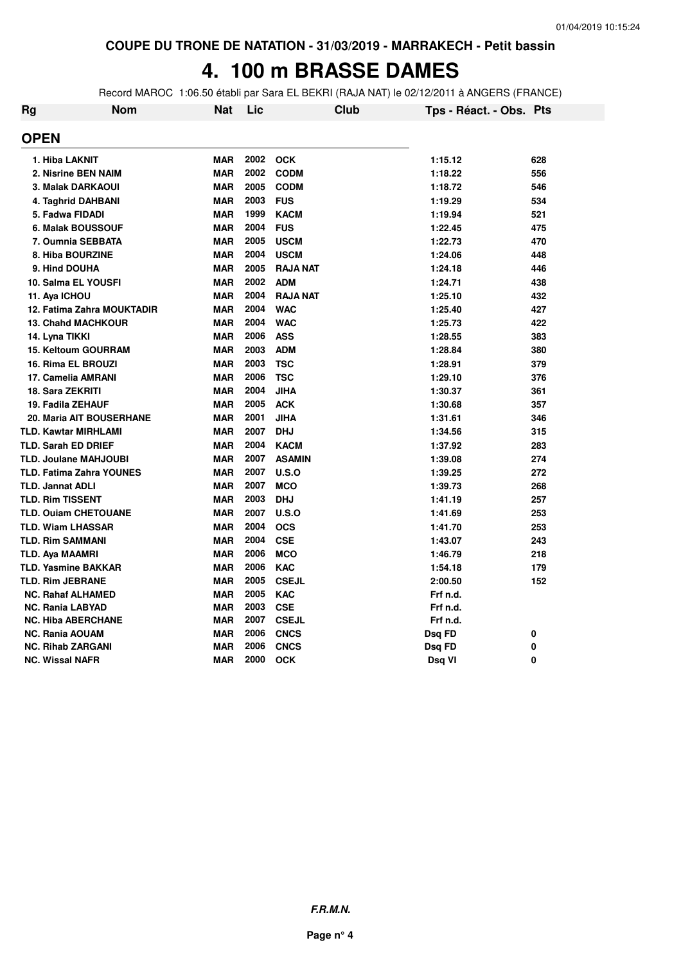#### **4. 100 m BRASSE DAMES**

Record MAROC 1:06.50 établi par Sara EL BEKRI (RAJA NAT) le 02/12/2011 à ANGERS (FRANCE)

| Rg | <b>Nom</b>                      | <b>Nat</b> | Lic  | <b>Club</b>     | Tps - Réact. - Obs. Pts |     |
|----|---------------------------------|------------|------|-----------------|-------------------------|-----|
|    | <b>OPEN</b>                     |            |      |                 |                         |     |
|    | 1. Hiba LAKNIT                  | <b>MAR</b> | 2002 | <b>OCK</b>      | 1:15.12                 | 628 |
|    | 2. Nisrine BEN NAIM             | <b>MAR</b> | 2002 | <b>CODM</b>     | 1:18.22                 | 556 |
|    | 3. Malak DARKAOUI               | <b>MAR</b> | 2005 | <b>CODM</b>     | 1:18.72                 | 546 |
|    | 4. Taghrid DAHBANI              | <b>MAR</b> | 2003 | <b>FUS</b>      | 1:19.29                 | 534 |
|    | 5. Fadwa FIDADI                 | <b>MAR</b> | 1999 | <b>KACM</b>     | 1:19.94                 | 521 |
|    | 6. Malak BOUSSOUF               | <b>MAR</b> | 2004 | <b>FUS</b>      | 1:22.45                 | 475 |
|    | 7. Oumnia SEBBATA               | <b>MAR</b> | 2005 | <b>USCM</b>     | 1:22.73                 | 470 |
|    | 8. Hiba BOURZINE                | <b>MAR</b> | 2004 | <b>USCM</b>     | 1:24.06                 | 448 |
|    | 9. Hind DOUHA                   | <b>MAR</b> | 2005 | <b>RAJA NAT</b> | 1:24.18                 | 446 |
|    | 10. Salma EL YOUSFI             | <b>MAR</b> | 2002 | <b>ADM</b>      | 1:24.71                 | 438 |
|    | 11. Aya ICHOU                   | <b>MAR</b> | 2004 | <b>RAJA NAT</b> | 1:25.10                 | 432 |
|    | 12. Fatima Zahra MOUKTADIR      | <b>MAR</b> | 2004 | <b>WAC</b>      | 1:25.40                 | 427 |
|    | <b>13. Chahd MACHKOUR</b>       | <b>MAR</b> | 2004 | <b>WAC</b>      | 1:25.73                 | 422 |
|    | 14. Lyna TIKKI                  | <b>MAR</b> | 2006 | <b>ASS</b>      | 1:28.55                 | 383 |
|    | <b>15. Keltoum GOURRAM</b>      | <b>MAR</b> | 2003 | <b>ADM</b>      | 1:28.84                 | 380 |
|    | 16. Rima EL BROUZI              | <b>MAR</b> | 2003 | <b>TSC</b>      | 1:28.91                 | 379 |
|    | 17. Camelia AMRANI              | <b>MAR</b> | 2006 | <b>TSC</b>      | 1:29.10                 | 376 |
|    | 18. Sara ZEKRITI                | <b>MAR</b> | 2004 | <b>JIHA</b>     | 1:30.37                 | 361 |
|    | 19. Fadila ZEHAUF               | <b>MAR</b> | 2005 | <b>ACK</b>      | 1:30.68                 | 357 |
|    | 20. Maria AIT BOUSERHANE        | <b>MAR</b> | 2001 | <b>JIHA</b>     | 1:31.61                 | 346 |
|    | <b>TLD. Kawtar MIRHLAMI</b>     | <b>MAR</b> | 2007 | <b>DHJ</b>      | 1:34.56                 | 315 |
|    | <b>TLD. Sarah ED DRIEF</b>      | <b>MAR</b> | 2004 | <b>KACM</b>     | 1:37.92                 | 283 |
|    | <b>TLD. Joulane MAHJOUBI</b>    | <b>MAR</b> | 2007 | <b>ASAMIN</b>   | 1:39.08                 | 274 |
|    | <b>TLD. Fatima Zahra YOUNES</b> | <b>MAR</b> | 2007 | U.S.O           | 1:39.25                 | 272 |
|    | <b>TLD. Jannat ADLI</b>         | <b>MAR</b> | 2007 | <b>MCO</b>      | 1:39.73                 | 268 |
|    | <b>TLD. Rim TISSENT</b>         | <b>MAR</b> | 2003 | <b>DHJ</b>      | 1:41.19                 | 257 |
|    | <b>TLD. Ouiam CHETOUANE</b>     | <b>MAR</b> | 2007 | U.S.O           | 1:41.69                 | 253 |
|    | <b>TLD. Wiam LHASSAR</b>        | <b>MAR</b> | 2004 | <b>OCS</b>      | 1:41.70                 | 253 |
|    | <b>TLD. Rim SAMMANI</b>         | <b>MAR</b> | 2004 | <b>CSE</b>      | 1:43.07                 | 243 |
|    | TLD. Aya MAAMRI                 | <b>MAR</b> | 2006 | <b>MCO</b>      | 1:46.79                 | 218 |
|    | <b>TLD. Yasmine BAKKAR</b>      | <b>MAR</b> | 2006 | <b>KAC</b>      | 1:54.18                 | 179 |
|    | <b>TLD. Rim JEBRANE</b>         | <b>MAR</b> | 2005 | <b>CSEJL</b>    | 2:00.50                 | 152 |
|    | <b>NC. Rahaf ALHAMED</b>        | <b>MAR</b> | 2005 | <b>KAC</b>      | Frf n.d.                |     |
|    | <b>NC. Rania LABYAD</b>         | <b>MAR</b> | 2003 | <b>CSE</b>      | Frf n.d.                |     |
|    | <b>NC. Hiba ABERCHANE</b>       | <b>MAR</b> | 2007 | <b>CSEJL</b>    | Frf n.d.                |     |
|    | <b>NC. Rania AOUAM</b>          | <b>MAR</b> | 2006 | <b>CNCS</b>     | Dsq FD                  | 0   |
|    | <b>NC. Rihab ZARGANI</b>        | <b>MAR</b> | 2006 | <b>CNCS</b>     | Dsq FD                  | 0   |
|    | <b>NC. Wissal NAFR</b>          | <b>MAR</b> | 2000 | <b>OCK</b>      | Dsq VI                  | 0   |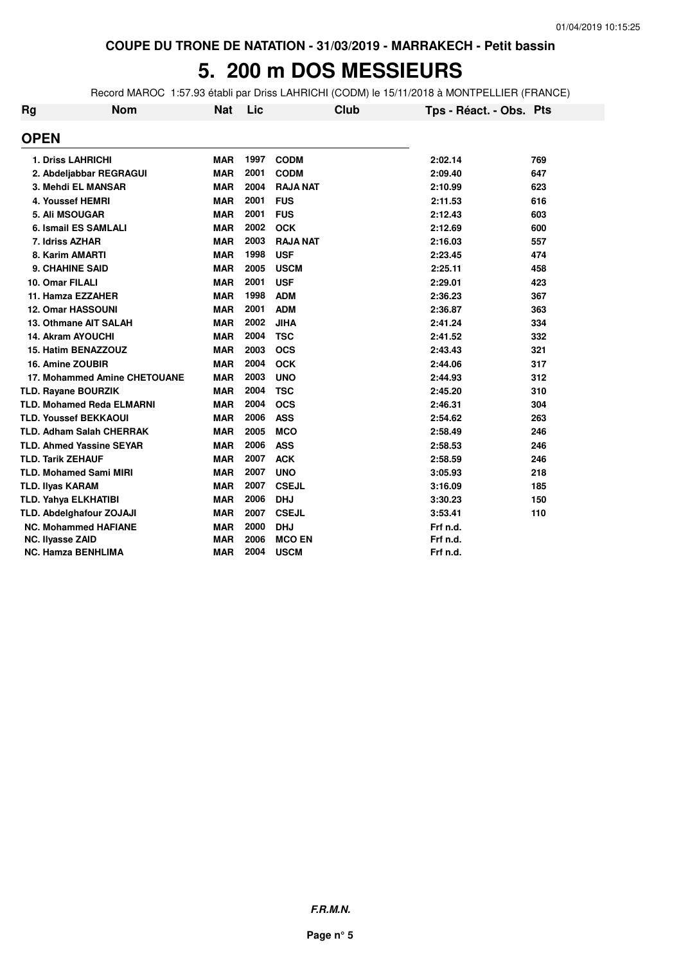# **5. 200 m DOS MESSIEURS**

Record MAROC 1:57.93 établi par Driss LAHRICHI (CODM) le 15/11/2018 à MONTPELLIER (FRANCE)

| <b>Rg</b> | <b>Nom</b>                       | <b>Nat</b> | Lic  | <b>Club</b>     | Tps - Réact. - Obs. Pts |     |
|-----------|----------------------------------|------------|------|-----------------|-------------------------|-----|
|           | <b>OPEN</b>                      |            |      |                 |                         |     |
|           | <b>1. Driss LAHRICHI</b>         | <b>MAR</b> | 1997 | <b>CODM</b>     | 2:02.14                 | 769 |
|           | 2. Abdeljabbar REGRAGUI          | <b>MAR</b> | 2001 | <b>CODM</b>     | 2:09.40                 | 647 |
|           | 3. Mehdi EL MANSAR               | <b>MAR</b> | 2004 | <b>RAJA NAT</b> | 2:10.99                 | 623 |
|           | 4. Youssef HEMRI                 | <b>MAR</b> | 2001 | <b>FUS</b>      | 2:11.53                 | 616 |
|           | 5. Ali MSOUGAR                   | <b>MAR</b> | 2001 | <b>FUS</b>      | 2:12.43                 | 603 |
|           | <b>6. Ismail ES SAMLALI</b>      | <b>MAR</b> | 2002 | <b>OCK</b>      | 2:12.69                 | 600 |
|           | 7. Idriss AZHAR                  | <b>MAR</b> | 2003 | <b>RAJA NAT</b> | 2:16.03                 | 557 |
|           | 8. Karim AMARTI                  | <b>MAR</b> | 1998 | <b>USF</b>      | 2:23.45                 | 474 |
|           | <b>9. CHAHINE SAID</b>           | <b>MAR</b> | 2005 | <b>USCM</b>     | 2:25.11                 | 458 |
|           | 10. Omar FILALI                  | <b>MAR</b> | 2001 | <b>USF</b>      | 2:29.01                 | 423 |
|           | 11. Hamza EZZAHER                | <b>MAR</b> | 1998 | <b>ADM</b>      | 2:36.23                 | 367 |
|           | 12. Omar HASSOUNI                | <b>MAR</b> | 2001 | <b>ADM</b>      | 2:36.87                 | 363 |
|           | 13. Othmane AIT SALAH            | <b>MAR</b> | 2002 | <b>JIHA</b>     | 2:41.24                 | 334 |
|           | <b>14. Akram AYOUCHI</b>         | <b>MAR</b> | 2004 | <b>TSC</b>      | 2:41.52                 | 332 |
|           | 15. Hatim BENAZZOUZ              | <b>MAR</b> | 2003 | <b>OCS</b>      | 2:43.43                 | 321 |
|           | 16. Amine ZOUBIR                 | <b>MAR</b> | 2004 | <b>OCK</b>      | 2:44.06                 | 317 |
|           | 17. Mohammed Amine CHETOUANE     | <b>MAR</b> | 2003 | <b>UNO</b>      | 2:44.93                 | 312 |
|           | TLD. Rayane BOURZIK              | <b>MAR</b> | 2004 | <b>TSC</b>      | 2:45.20                 | 310 |
|           | <b>TLD. Mohamed Reda ELMARNI</b> | <b>MAR</b> | 2004 | <b>OCS</b>      | 2:46.31                 | 304 |
|           | <b>TLD. Youssef BEKKAOUI</b>     | <b>MAR</b> | 2006 | <b>ASS</b>      | 2:54.62                 | 263 |
|           | <b>TLD. Adham Salah CHERRAK</b>  | <b>MAR</b> | 2005 | <b>MCO</b>      | 2:58.49                 | 246 |
|           | <b>TLD. Ahmed Yassine SEYAR</b>  | <b>MAR</b> | 2006 | <b>ASS</b>      | 2:58.53                 | 246 |
|           | <b>TLD. Tarik ZEHAUF</b>         | <b>MAR</b> | 2007 | <b>ACK</b>      | 2:58.59                 | 246 |
|           | <b>TLD. Mohamed Sami MIRI</b>    | <b>MAR</b> | 2007 | <b>UNO</b>      | 3:05.93                 | 218 |
|           | <b>TLD. IIyas KARAM</b>          | <b>MAR</b> | 2007 | <b>CSEJL</b>    | 3:16.09                 | 185 |
|           | <b>TLD. Yahya ELKHATIBI</b>      | <b>MAR</b> | 2006 | <b>DHJ</b>      | 3:30.23                 | 150 |
|           | <b>TLD. Abdelghafour ZOJAJI</b>  | <b>MAR</b> | 2007 | <b>CSEJL</b>    | 3:53.41                 | 110 |
|           | <b>NC. Mohammed HAFIANE</b>      | <b>MAR</b> | 2000 | <b>DHJ</b>      | Frf n.d.                |     |
|           | <b>NC. Ilyasse ZAID</b>          | <b>MAR</b> | 2006 | <b>MCO EN</b>   | Frf n.d.                |     |
|           | <b>NC. Hamza BENHLIMA</b>        | <b>MAR</b> | 2004 | <b>USCM</b>     | Frf n.d.                |     |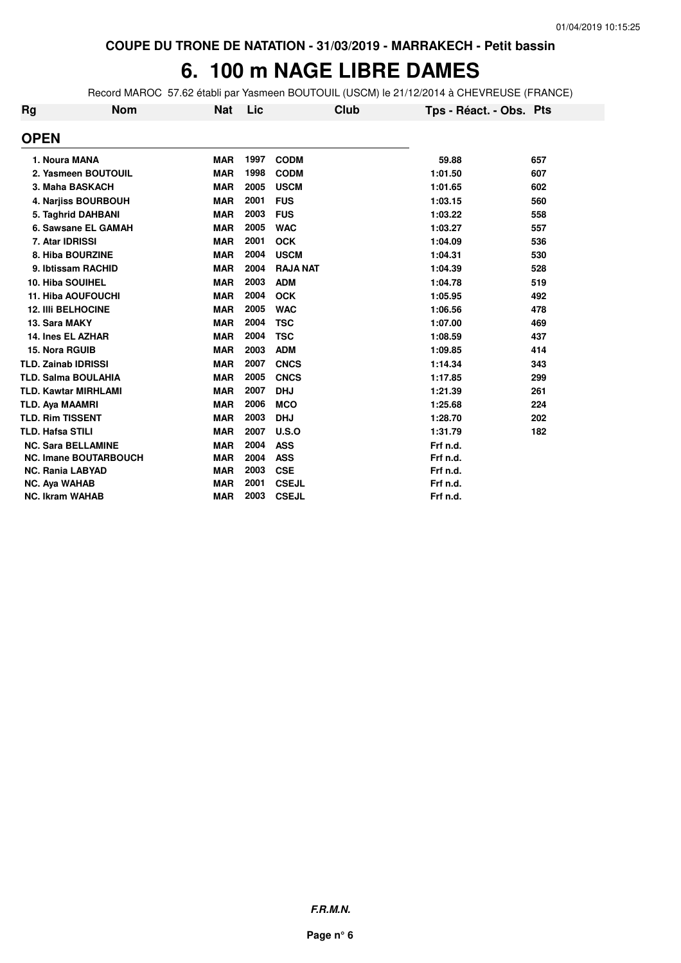# 6. 100 m NAGE LIBRE DAMES

Record MAROC 57.62 établi par Yasmeen BOUTOUIL (USCM) le 21/12/2014 à CHEVREUSE (FRANCE)

| <b>Rg</b> | <b>Nom</b>                   | <b>Nat</b> | Lic  |                 | Club | Tps - Réact. - Obs. Pts |     |
|-----------|------------------------------|------------|------|-----------------|------|-------------------------|-----|
|           | <b>OPEN</b>                  |            |      |                 |      |                         |     |
|           | 1. Noura MANA                | <b>MAR</b> | 1997 | <b>CODM</b>     |      | 59.88                   | 657 |
|           | 2. Yasmeen BOUTOUIL          | <b>MAR</b> | 1998 | <b>CODM</b>     |      | 1:01.50                 | 607 |
|           | 3. Maha BASKACH              | <b>MAR</b> | 2005 | <b>USCM</b>     |      | 1:01.65                 | 602 |
|           | 4. Narjiss BOURBOUH          | <b>MAR</b> | 2001 | <b>FUS</b>      |      | 1:03.15                 | 560 |
|           | 5. Taghrid DAHBANI           | <b>MAR</b> | 2003 | <b>FUS</b>      |      | 1:03.22                 | 558 |
|           | 6. Sawsane EL GAMAH          | <b>MAR</b> | 2005 | <b>WAC</b>      |      | 1:03.27                 | 557 |
|           | 7. Atar IDRISSI              | <b>MAR</b> | 2001 | <b>OCK</b>      |      | 1:04.09                 | 536 |
|           | 8. Hiba BOURZINE             | <b>MAR</b> | 2004 | <b>USCM</b>     |      | 1:04.31                 | 530 |
|           | 9. Ibtissam RACHID           | <b>MAR</b> | 2004 | <b>RAJA NAT</b> |      | 1:04.39                 | 528 |
|           | 10. Hiba SOUIHEL             | <b>MAR</b> | 2003 | <b>ADM</b>      |      | 1:04.78                 | 519 |
|           | <b>11. Hiba AOUFOUCHI</b>    | <b>MAR</b> | 2004 | <b>OCK</b>      |      | 1:05.95                 | 492 |
|           | <b>12. IIII BELHOCINE</b>    | <b>MAR</b> | 2005 | <b>WAC</b>      |      | 1:06.56                 | 478 |
|           | 13. Sara MAKY                | <b>MAR</b> | 2004 | <b>TSC</b>      |      | 1:07.00                 | 469 |
|           | 14. Ines EL AZHAR            | <b>MAR</b> | 2004 | <b>TSC</b>      |      | 1:08.59                 | 437 |
|           | 15. Nora RGUIB               | <b>MAR</b> | 2003 | <b>ADM</b>      |      | 1:09.85                 | 414 |
|           | <b>TLD. Zainab IDRISSI</b>   | <b>MAR</b> | 2007 | <b>CNCS</b>     |      | 1:14.34                 | 343 |
|           | <b>TLD. Salma BOULAHIA</b>   | <b>MAR</b> | 2005 | <b>CNCS</b>     |      | 1:17.85                 | 299 |
|           | <b>TLD. Kawtar MIRHLAMI</b>  | <b>MAR</b> | 2007 | <b>DHJ</b>      |      | 1:21.39                 | 261 |
|           | <b>TLD. Aya MAAMRI</b>       | <b>MAR</b> | 2006 | <b>MCO</b>      |      | 1:25.68                 | 224 |
|           | <b>TLD. Rim TISSENT</b>      | <b>MAR</b> | 2003 | <b>DHJ</b>      |      | 1:28.70                 | 202 |
|           | <b>TLD. Hafsa STILI</b>      | <b>MAR</b> | 2007 | U.S.O           |      | 1:31.79                 | 182 |
|           | <b>NC. Sara BELLAMINE</b>    | <b>MAR</b> | 2004 | <b>ASS</b>      |      | Frf n.d.                |     |
|           | <b>NC. Imane BOUTARBOUCH</b> | <b>MAR</b> | 2004 | <b>ASS</b>      |      | Frf n.d.                |     |
|           | <b>NC. Rania LABYAD</b>      | <b>MAR</b> | 2003 | <b>CSE</b>      |      | Frf n.d.                |     |
|           | <b>NC. Aya WAHAB</b>         | <b>MAR</b> | 2001 | <b>CSEJL</b>    |      | Frf n.d.                |     |
|           | <b>NC. Ikram WAHAB</b>       | <b>MAR</b> | 2003 | <b>CSEJL</b>    |      | Frf n.d.                |     |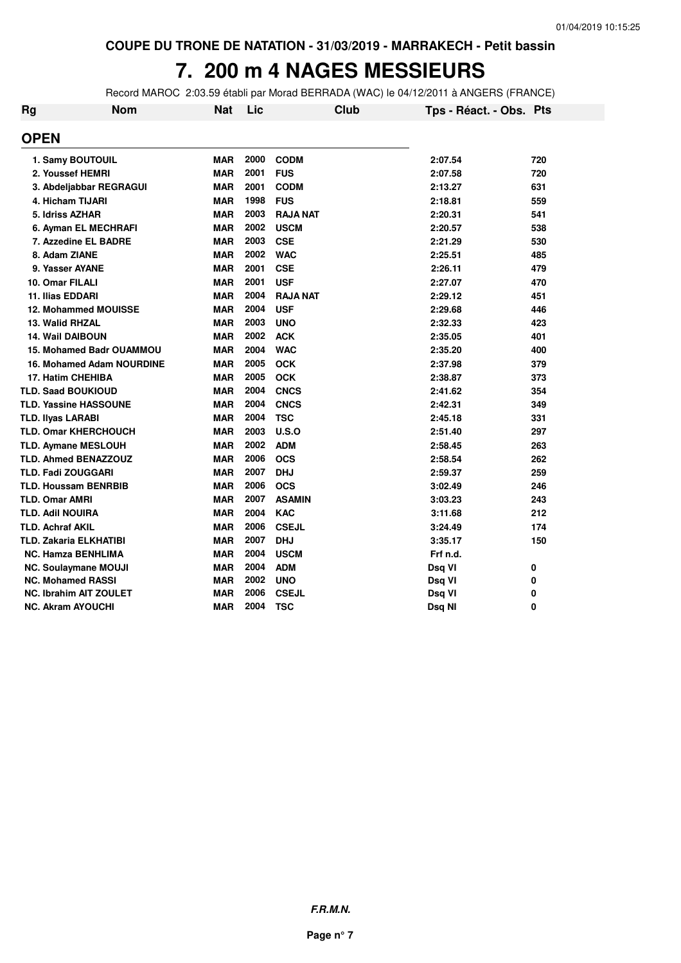# **7. 200 m 4 NAGES MESSIEURS**

Record MAROC 2:03.59 établi par Morad BERRADA (WAC) le 04/12/2011 à ANGERS (FRANCE)

| Rg | <b>Nom</b>                       | <b>Nat</b> | Lic  | Club            | Tps - Réact. - Obs. Pts |     |
|----|----------------------------------|------------|------|-----------------|-------------------------|-----|
|    | <b>OPEN</b>                      |            |      |                 |                         |     |
|    | 1. Samy BOUTOUIL                 | <b>MAR</b> | 2000 | <b>CODM</b>     | 2:07.54                 | 720 |
|    | 2. Youssef HEMRI                 | <b>MAR</b> | 2001 | <b>FUS</b>      | 2:07.58                 | 720 |
|    | 3. Abdeljabbar REGRAGUI          | <b>MAR</b> | 2001 | <b>CODM</b>     | 2:13.27                 | 631 |
|    | 4. Hicham TIJARI                 | <b>MAR</b> | 1998 | <b>FUS</b>      | 2:18.81                 | 559 |
|    | 5. Idriss AZHAR                  | <b>MAR</b> | 2003 | <b>RAJA NAT</b> | 2:20.31                 | 541 |
|    | 6. Ayman EL MECHRAFI             | <b>MAR</b> | 2002 | <b>USCM</b>     | 2:20.57                 | 538 |
|    | 7. Azzedine EL BADRE             | <b>MAR</b> | 2003 | <b>CSE</b>      | 2:21.29                 | 530 |
|    | 8. Adam ZIANE                    | <b>MAR</b> | 2002 | <b>WAC</b>      | 2:25.51                 | 485 |
|    | 9. Yasser AYANE                  | <b>MAR</b> | 2001 | <b>CSE</b>      | 2:26.11                 | 479 |
|    | 10. Omar FILALI                  | <b>MAR</b> | 2001 | <b>USF</b>      | 2:27.07                 | 470 |
|    | <b>11. Ilias EDDARI</b>          | <b>MAR</b> | 2004 | <b>RAJA NAT</b> | 2:29.12                 | 451 |
|    | <b>12. Mohammed MOUISSE</b>      | <b>MAR</b> | 2004 | <b>USF</b>      | 2:29.68                 | 446 |
|    | 13. Walid RHZAL                  | <b>MAR</b> | 2003 | <b>UNO</b>      | 2:32.33                 | 423 |
|    | <b>14. Wail DAIBOUN</b>          | <b>MAR</b> | 2002 | <b>ACK</b>      | 2:35.05                 | 401 |
|    | <b>15. Mohamed Badr OUAMMOU</b>  | <b>MAR</b> | 2004 | <b>WAC</b>      | 2:35.20                 | 400 |
|    | <b>16. Mohamed Adam NOURDINE</b> | <b>MAR</b> | 2005 | <b>OCK</b>      | 2:37.98                 | 379 |
|    | 17. Hatim CHEHIBA                | <b>MAR</b> | 2005 | <b>OCK</b>      | 2:38.87                 | 373 |
|    | <b>TLD. Saad BOUKIOUD</b>        | <b>MAR</b> | 2004 | <b>CNCS</b>     | 2:41.62                 | 354 |
|    | <b>TLD. Yassine HASSOUNE</b>     | <b>MAR</b> | 2004 | <b>CNCS</b>     | 2:42.31                 | 349 |
|    | <b>TLD. IIyas LARABI</b>         | <b>MAR</b> | 2004 | <b>TSC</b>      | 2:45.18                 | 331 |
|    | <b>TLD. Omar KHERCHOUCH</b>      | <b>MAR</b> | 2003 | U.S.O           | 2:51.40                 | 297 |
|    | <b>TLD. Aymane MESLOUH</b>       | <b>MAR</b> | 2002 | <b>ADM</b>      | 2:58.45                 | 263 |
|    | <b>TLD. Ahmed BENAZZOUZ</b>      | <b>MAR</b> | 2006 | <b>OCS</b>      | 2:58.54                 | 262 |
|    | <b>TLD. Fadi ZOUGGARI</b>        | <b>MAR</b> | 2007 | <b>DHJ</b>      | 2:59.37                 | 259 |
|    | <b>TLD. Houssam BENRBIB</b>      | <b>MAR</b> | 2006 | <b>OCS</b>      | 3:02.49                 | 246 |
|    | <b>TLD. Omar AMRI</b>            | <b>MAR</b> | 2007 | <b>ASAMIN</b>   | 3:03.23                 | 243 |
|    | <b>TLD. Adil NOUIRA</b>          | <b>MAR</b> | 2004 | <b>KAC</b>      | 3:11.68                 | 212 |
|    | <b>TLD. Achraf AKIL</b>          | <b>MAR</b> | 2006 | <b>CSEJL</b>    | 3:24.49                 | 174 |
|    | TLD. Zakaria ELKHATIBI           | <b>MAR</b> | 2007 | <b>DHJ</b>      | 3:35.17                 | 150 |
|    | <b>NC. Hamza BENHLIMA</b>        | <b>MAR</b> | 2004 | <b>USCM</b>     | Frf n.d.                |     |
|    | <b>NC. Soulaymane MOUJI</b>      | <b>MAR</b> | 2004 | <b>ADM</b>      | Dsq VI                  | 0   |
|    | <b>NC. Mohamed RASSI</b>         | <b>MAR</b> | 2002 | <b>UNO</b>      | Dsq VI                  | 0   |
|    | <b>NC. Ibrahim AIT ZOULET</b>    | <b>MAR</b> | 2006 | <b>CSEJL</b>    | Dsq VI                  | 0   |
|    | <b>NC. Akram AYOUCHI</b>         | <b>MAR</b> | 2004 | <b>TSC</b>      | Dsq Nl                  | 0   |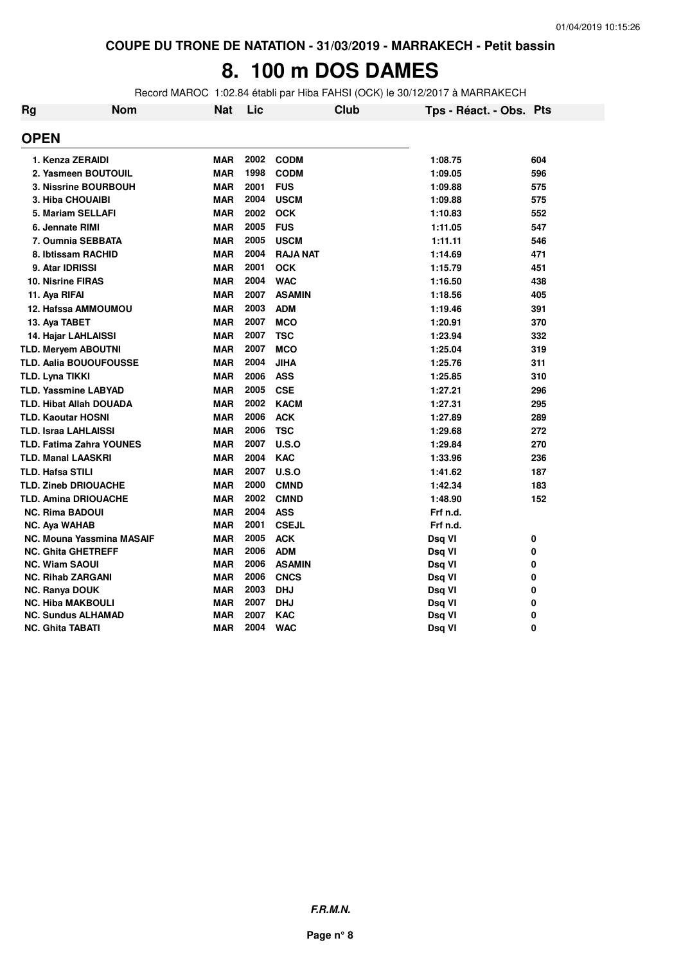### 8. 100 m DOS DAMES

Record MAROC 1:02.84 établi par Hiba FAHSI (OCK) le 30/12/2017 à MARRAKECH

| <b>Rg</b> | <b>Nom</b>                       | Nat        | Lic  | <b>Club</b>     | Tps - Réact. - Obs. Pts |     |
|-----------|----------------------------------|------------|------|-----------------|-------------------------|-----|
|           | <b>OPEN</b>                      |            |      |                 |                         |     |
|           | 1. Kenza ZERAIDI                 | <b>MAR</b> | 2002 | <b>CODM</b>     | 1:08.75                 | 604 |
|           | 2. Yasmeen BOUTOUIL              | <b>MAR</b> | 1998 | <b>CODM</b>     | 1:09.05                 | 596 |
|           | 3. Nissrine BOURBOUH             | <b>MAR</b> | 2001 | <b>FUS</b>      | 1:09.88                 | 575 |
|           | <b>3. Hiba CHOUAIBI</b>          | <b>MAR</b> | 2004 | <b>USCM</b>     | 1:09.88                 | 575 |
|           | 5. Mariam SELLAFI                | <b>MAR</b> | 2002 | <b>OCK</b>      | 1:10.83                 | 552 |
|           | 6. Jennate RIMI                  | <b>MAR</b> | 2005 | <b>FUS</b>      | 1:11.05                 | 547 |
|           | 7. Oumnia SEBBATA                | <b>MAR</b> | 2005 | <b>USCM</b>     | 1:11.11                 | 546 |
|           | 8. Ibtissam RACHID               | <b>MAR</b> | 2004 | <b>RAJA NAT</b> | 1:14.69                 | 471 |
|           | 9. Atar IDRISSI                  | <b>MAR</b> | 2001 | <b>OCK</b>      | 1:15.79                 | 451 |
|           | <b>10. Nisrine FIRAS</b>         | <b>MAR</b> | 2004 | <b>WAC</b>      | 1:16.50                 | 438 |
|           | 11. Aya RIFAI                    | <b>MAR</b> | 2007 | <b>ASAMIN</b>   | 1:18.56                 | 405 |
|           | 12. Hafssa AMMOUMOU              | <b>MAR</b> | 2003 | <b>ADM</b>      | 1:19.46                 | 391 |
|           | 13. Aya TABET                    | <b>MAR</b> | 2007 | <b>MCO</b>      | 1:20.91                 | 370 |
|           | 14. Hajar LAHLAISSI              | <b>MAR</b> | 2007 | <b>TSC</b>      | 1:23.94                 | 332 |
|           | <b>TLD. Meryem ABOUTNI</b>       | <b>MAR</b> | 2007 | <b>MCO</b>      | 1:25.04                 | 319 |
|           | <b>TLD. Aalia BOUOUFOUSSE</b>    | <b>MAR</b> | 2004 | <b>JIHA</b>     | 1:25.76                 | 311 |
|           | TLD. Lyna TIKKI                  | <b>MAR</b> | 2006 | <b>ASS</b>      | 1:25.85                 | 310 |
|           | <b>TLD. Yassmine LABYAD</b>      | <b>MAR</b> | 2005 | <b>CSE</b>      | 1:27.21                 | 296 |
|           | <b>TLD. Hibat Allah DOUADA</b>   | <b>MAR</b> | 2002 | <b>KACM</b>     | 1:27.31                 | 295 |
|           | <b>TLD. Kaoutar HOSNI</b>        | <b>MAR</b> | 2006 | <b>ACK</b>      | 1:27.89                 | 289 |
|           | <b>TLD. Israa LAHLAISSI</b>      | <b>MAR</b> | 2006 | <b>TSC</b>      | 1:29.68                 | 272 |
|           | <b>TLD. Fatima Zahra YOUNES</b>  | <b>MAR</b> | 2007 | U.S.O           | 1:29.84                 | 270 |
|           | <b>TLD. Manal LAASKRI</b>        | <b>MAR</b> | 2004 | <b>KAC</b>      | 1:33.96                 | 236 |
|           | <b>TLD. Hafsa STILI</b>          | <b>MAR</b> | 2007 | U.S.O           | 1:41.62                 | 187 |
|           | <b>TLD. Zineb DRIOUACHE</b>      | <b>MAR</b> | 2000 | <b>CMND</b>     | 1:42.34                 | 183 |
|           | <b>TLD. Amina DRIOUACHE</b>      | <b>MAR</b> | 2002 | <b>CMND</b>     | 1:48.90                 | 152 |
|           | <b>NC. Rima BADOUI</b>           | <b>MAR</b> | 2004 | <b>ASS</b>      | Frf n.d.                |     |
|           | <b>NC. Aya WAHAB</b>             | <b>MAR</b> | 2001 | <b>CSEJL</b>    | Frf n.d.                |     |
|           | <b>NC. Mouna Yassmina MASAIF</b> | <b>MAR</b> | 2005 | <b>ACK</b>      | Dsq VI                  | 0   |
|           | <b>NC. Ghita GHETREFF</b>        | <b>MAR</b> | 2006 | <b>ADM</b>      | Dsq VI                  | 0   |
|           | <b>NC. Wiam SAOUI</b>            | <b>MAR</b> | 2006 | <b>ASAMIN</b>   | Dsq VI                  | 0   |
|           | <b>NC. Rihab ZARGANI</b>         | <b>MAR</b> | 2006 | <b>CNCS</b>     | Dsq VI                  | 0   |
|           | <b>NC. Ranya DOUK</b>            | <b>MAR</b> | 2003 | <b>DHJ</b>      | Dsq VI                  | 0   |
|           | <b>NC. Hiba MAKBOULI</b>         | <b>MAR</b> | 2007 | <b>DHJ</b>      | Dsq VI                  | 0   |
|           | <b>NC. Sundus ALHAMAD</b>        | <b>MAR</b> | 2007 | <b>KAC</b>      | Dsq VI                  | 0   |
|           | <b>NC. Ghita TABATI</b>          | <b>MAR</b> | 2004 | <b>WAC</b>      | Dsq VI                  | 0   |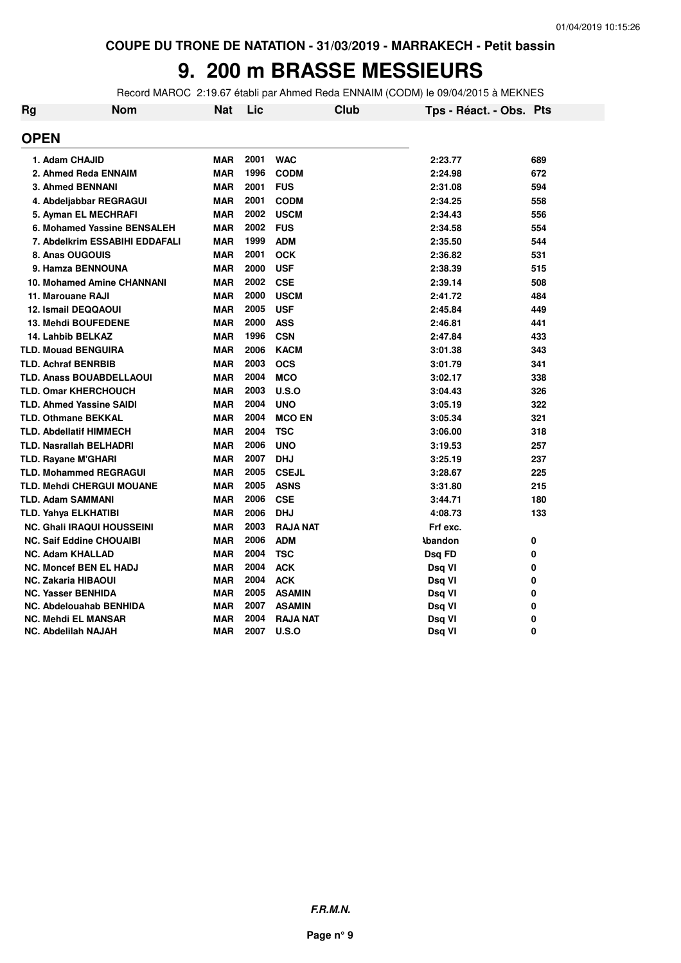# **9. 200 m BRASSE MESSIEURS**

Record MAROC 2:19.67 établi par Ahmed Reda ENNAIM (CODM) le 09/04/2015 à MEKNES

| <b>Rg</b> | <b>Nom</b>                        | <b>Nat</b> | Lic  | <b>Club</b>     | Tps - Réact. - Obs. Pts |     |
|-----------|-----------------------------------|------------|------|-----------------|-------------------------|-----|
|           | <b>OPEN</b>                       |            |      |                 |                         |     |
|           | 1. Adam CHAJID                    | <b>MAR</b> | 2001 | <b>WAC</b>      | 2:23.77                 | 689 |
|           | 2. Ahmed Reda ENNAIM              | <b>MAR</b> | 1996 | <b>CODM</b>     | 2:24.98                 | 672 |
|           | 3. Ahmed BENNANI                  | <b>MAR</b> | 2001 | <b>FUS</b>      | 2:31.08                 | 594 |
|           | 4. Abdeljabbar REGRAGUI           | <b>MAR</b> | 2001 | <b>CODM</b>     | 2:34.25                 | 558 |
|           | 5. Ayman EL MECHRAFI              | <b>MAR</b> | 2002 | <b>USCM</b>     | 2:34.43                 | 556 |
|           | 6. Mohamed Yassine BENSALEH       | <b>MAR</b> | 2002 | <b>FUS</b>      | 2:34.58                 | 554 |
|           | 7. Abdelkrim ESSABIHI EDDAFALI    | <b>MAR</b> | 1999 | <b>ADM</b>      | 2:35.50                 | 544 |
|           | 8. Anas OUGOUIS                   | <b>MAR</b> | 2001 | <b>OCK</b>      | 2:36.82                 | 531 |
|           | 9. Hamza BENNOUNA                 | <b>MAR</b> | 2000 | <b>USF</b>      | 2:38.39                 | 515 |
|           | <b>10. Mohamed Amine CHANNANI</b> | <b>MAR</b> | 2002 | <b>CSE</b>      | 2:39.14                 | 508 |
|           | 11. Marouane RAJI                 | <b>MAR</b> | 2000 | <b>USCM</b>     | 2:41.72                 | 484 |
|           | <b>12. Ismail DEQQAOUI</b>        | <b>MAR</b> | 2005 | <b>USF</b>      | 2:45.84                 | 449 |
|           | 13. Mehdi BOUFEDENE               | <b>MAR</b> | 2000 | <b>ASS</b>      | 2:46.81                 | 441 |
|           | 14. Lahbib BELKAZ                 | <b>MAR</b> | 1996 | <b>CSN</b>      | 2:47.84                 | 433 |
|           | <b>TLD. Mouad BENGUIRA</b>        | <b>MAR</b> | 2006 | <b>KACM</b>     | 3:01.38                 | 343 |
|           | <b>TLD. Achraf BENRBIB</b>        | <b>MAR</b> | 2003 | <b>OCS</b>      | 3:01.79                 | 341 |
|           | <b>TLD. Anass BOUABDELLAOUI</b>   | <b>MAR</b> | 2004 | <b>MCO</b>      | 3:02.17                 | 338 |
|           | <b>TLD. Omar KHERCHOUCH</b>       | <b>MAR</b> | 2003 | U.S.O           | 3:04.43                 | 326 |
|           | <b>TLD. Ahmed Yassine SAIDI</b>   | <b>MAR</b> | 2004 | <b>UNO</b>      | 3:05.19                 | 322 |
|           | <b>TLD. Othmane BEKKAL</b>        | <b>MAR</b> | 2004 | <b>MCO EN</b>   | 3:05.34                 | 321 |
|           | <b>TLD. Abdellatif HIMMECH</b>    | <b>MAR</b> | 2004 | <b>TSC</b>      | 3:06.00                 | 318 |
|           | <b>TLD. Nasrallah BELHADRI</b>    | <b>MAR</b> | 2006 | <b>UNO</b>      | 3:19.53                 | 257 |
|           | <b>TLD. Rayane M'GHARI</b>        | <b>MAR</b> | 2007 | <b>DHJ</b>      | 3:25.19                 | 237 |
|           | <b>TLD. Mohammed REGRAGUI</b>     | <b>MAR</b> | 2005 | <b>CSEJL</b>    | 3:28.67                 | 225 |
|           | TLD. Mehdi CHERGUI MOUANE         | <b>MAR</b> | 2005 | <b>ASNS</b>     | 3:31.80                 | 215 |
|           | <b>TLD. Adam SAMMANI</b>          | <b>MAR</b> | 2006 | <b>CSE</b>      | 3:44.71                 | 180 |
|           | TLD. Yahya ELKHATIBI              | <b>MAR</b> | 2006 | <b>DHJ</b>      | 4:08.73                 | 133 |
|           | <b>NC. Ghali IRAQUI HOUSSEINI</b> | <b>MAR</b> | 2003 | <b>RAJA NAT</b> | Frf exc.                |     |
|           | <b>NC. Saif Eddine CHOUAIBI</b>   | <b>MAR</b> | 2006 | <b>ADM</b>      | <b>Abandon</b>          | 0   |
|           | <b>NC. Adam KHALLAD</b>           | <b>MAR</b> | 2004 | <b>TSC</b>      | Dsq FD                  | 0   |
|           | <b>NC. Moncef BEN EL HADJ</b>     | <b>MAR</b> | 2004 | <b>ACK</b>      | Dsq VI                  | 0   |
|           | <b>NC. Zakaria HIBAOUI</b>        | <b>MAR</b> | 2004 | <b>ACK</b>      | Dsq VI                  | 0   |
|           | <b>NC. Yasser BENHIDA</b>         | <b>MAR</b> | 2005 | <b>ASAMIN</b>   | Dsq VI                  | 0   |
|           | <b>NC. Abdelouahab BENHIDA</b>    | <b>MAR</b> | 2007 | ASAMIN          | Dsq VI                  | 0   |
|           | <b>NC. Mehdi EL MANSAR</b>        | <b>MAR</b> | 2004 | <b>RAJA NAT</b> | Dsq VI                  | 0   |
|           | NC. Abdelilah NAJAH               | <b>MAR</b> | 2007 | U.S.O           | Dsq VI                  | 0   |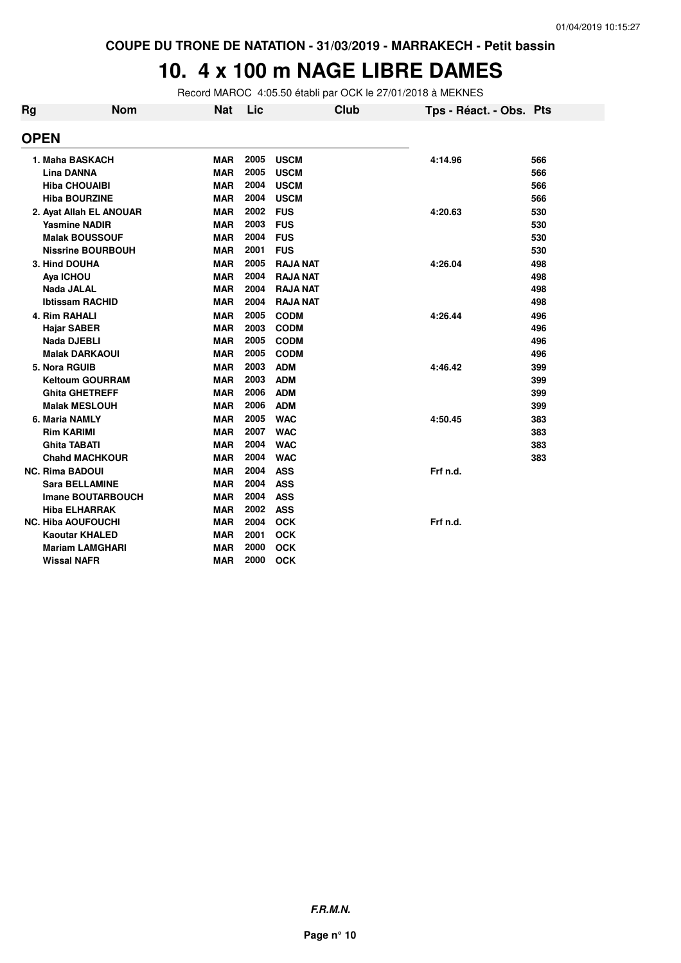# **10. 4 x 100 m NAGE LIBRE DAMES**

Record MAROC 4:05.50 établi par OCK le 27/01/2018 à MEKNES

| <b>Rg</b> | <b>Nom</b>                | Nat        | Lic  | <b>Club</b>     | Tps - Réact. - Obs. Pts |     |
|-----------|---------------------------|------------|------|-----------------|-------------------------|-----|
|           | <b>OPEN</b>               |            |      |                 |                         |     |
|           | 1. Maha BASKACH           | <b>MAR</b> | 2005 | <b>USCM</b>     | 4:14.96                 | 566 |
|           | <b>Lina DANNA</b>         | <b>MAR</b> | 2005 | <b>USCM</b>     |                         | 566 |
|           | <b>Hiba CHOUAIBI</b>      | <b>MAR</b> | 2004 | <b>USCM</b>     |                         | 566 |
|           | <b>Hiba BOURZINE</b>      | <b>MAR</b> | 2004 | <b>USCM</b>     |                         | 566 |
|           | 2. Ayat Allah EL ANOUAR   | <b>MAR</b> | 2002 | <b>FUS</b>      | 4:20.63                 | 530 |
|           | <b>Yasmine NADIR</b>      | <b>MAR</b> | 2003 | <b>FUS</b>      |                         | 530 |
|           | <b>Malak BOUSSOUF</b>     | <b>MAR</b> | 2004 | <b>FUS</b>      |                         | 530 |
|           | <b>Nissrine BOURBOUH</b>  | <b>MAR</b> | 2001 | <b>FUS</b>      |                         | 530 |
|           | 3. Hind DOUHA             | <b>MAR</b> | 2005 | <b>RAJA NAT</b> | 4:26.04                 | 498 |
|           | Aya ICHOU                 | <b>MAR</b> | 2004 | <b>RAJA NAT</b> |                         | 498 |
|           | Nada JALAL                | <b>MAR</b> | 2004 | <b>RAJA NAT</b> |                         | 498 |
|           | <b>Ibtissam RACHID</b>    | <b>MAR</b> | 2004 | <b>RAJA NAT</b> |                         | 498 |
|           | 4. Rim RAHALI             | <b>MAR</b> | 2005 | <b>CODM</b>     | 4:26.44                 | 496 |
|           | <b>Hajar SABER</b>        | <b>MAR</b> | 2003 | <b>CODM</b>     |                         | 496 |
|           | <b>Nada DJEBLI</b>        | <b>MAR</b> | 2005 | <b>CODM</b>     |                         | 496 |
|           | <b>Malak DARKAOUI</b>     | <b>MAR</b> | 2005 | <b>CODM</b>     |                         | 496 |
|           | 5. Nora RGUIB             | <b>MAR</b> | 2003 | <b>ADM</b>      | 4:46.42                 | 399 |
|           | <b>Keltoum GOURRAM</b>    | <b>MAR</b> | 2003 | <b>ADM</b>      |                         | 399 |
|           | <b>Ghita GHETREFF</b>     | <b>MAR</b> | 2006 | <b>ADM</b>      |                         | 399 |
|           | <b>Malak MESLOUH</b>      | <b>MAR</b> | 2006 | <b>ADM</b>      |                         | 399 |
|           | 6. Maria NAMLY            | <b>MAR</b> | 2005 | <b>WAC</b>      | 4:50.45                 | 383 |
|           | <b>Rim KARIMI</b>         | <b>MAR</b> | 2007 | <b>WAC</b>      |                         | 383 |
|           | <b>Ghita TABATI</b>       | <b>MAR</b> | 2004 | <b>WAC</b>      |                         | 383 |
|           | <b>Chahd MACHKOUR</b>     | <b>MAR</b> | 2004 | <b>WAC</b>      |                         | 383 |
|           | <b>NC. Rima BADOUI</b>    | <b>MAR</b> | 2004 | <b>ASS</b>      | Frf n.d.                |     |
|           | <b>Sara BELLAMINE</b>     | <b>MAR</b> | 2004 | <b>ASS</b>      |                         |     |
|           | <b>Imane BOUTARBOUCH</b>  | <b>MAR</b> | 2004 | <b>ASS</b>      |                         |     |
|           | <b>Hiba ELHARRAK</b>      | <b>MAR</b> | 2002 | <b>ASS</b>      |                         |     |
|           | <b>NC. Hiba AOUFOUCHI</b> | <b>MAR</b> | 2004 | <b>OCK</b>      | Frf n.d.                |     |
|           | <b>Kaoutar KHALED</b>     | <b>MAR</b> | 2001 | <b>OCK</b>      |                         |     |
|           | <b>Mariam LAMGHARI</b>    | <b>MAR</b> | 2000 | <b>OCK</b>      |                         |     |
|           | <b>Wissal NAFR</b>        | <b>MAR</b> | 2000 | <b>OCK</b>      |                         |     |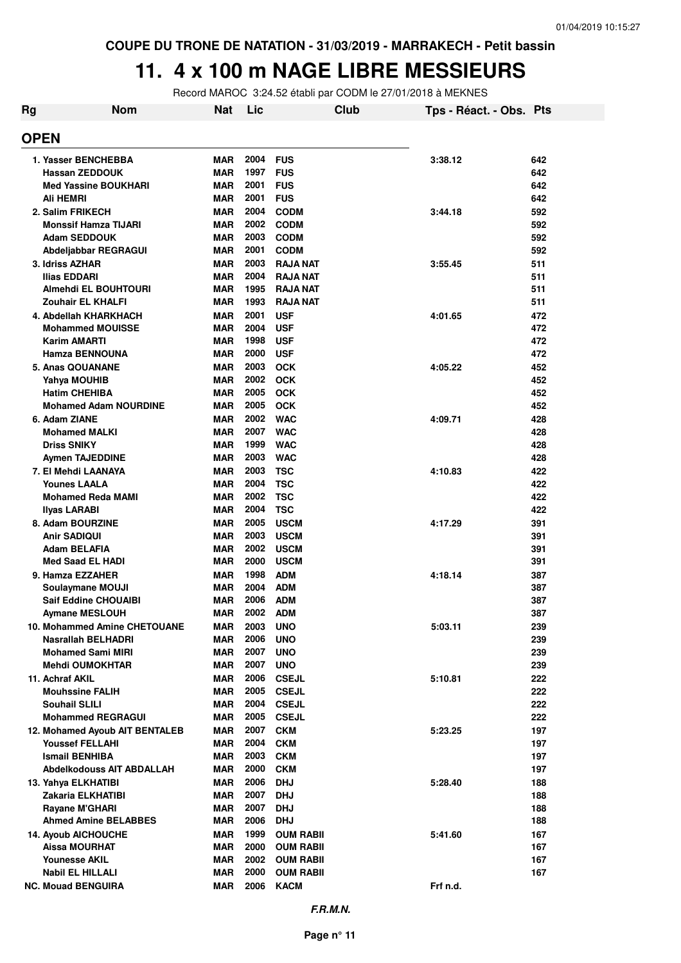#### **11. 4 x 100 m NAGE LIBRE MESSIEURS**

Record MAROC 3:24.52 établi par CODM le 27/01/2018 à MEKNES

| Rg | <b>Nom</b>                                      | <b>Nat</b>               | Lic          | <b>Club</b>                          | Tps - Réact. - Obs. Pts |            |
|----|-------------------------------------------------|--------------------------|--------------|--------------------------------------|-------------------------|------------|
|    | <b>OPEN</b>                                     |                          |              |                                      |                         |            |
|    | 1. Yasser BENCHEBBA                             | <b>MAR</b>               | 2004         | <b>FUS</b>                           | 3:38.12                 | 642        |
|    | <b>Hassan ZEDDOUK</b>                           | <b>MAR</b>               | 1997         | <b>FUS</b>                           |                         | 642        |
|    | <b>Med Yassine BOUKHARI</b>                     | <b>MAR</b>               | 2001         | <b>FUS</b>                           |                         | 642        |
|    | Ali HEMRI                                       | <b>MAR</b>               | 2001         | <b>FUS</b>                           |                         | 642        |
|    | 2. Salim FRIKECH                                | <b>MAR</b>               | 2004         | <b>CODM</b>                          | 3:44.18                 | 592        |
|    | <b>Monssif Hamza TIJARI</b>                     | <b>MAR</b>               | 2002         | <b>CODM</b>                          |                         | 592        |
|    | <b>Adam SEDDOUK</b>                             | <b>MAR</b>               | 2003         | <b>CODM</b>                          |                         | 592        |
|    | Abdeljabbar REGRAGUI                            | <b>MAR</b>               | 2001         | <b>CODM</b>                          |                         | 592        |
|    | 3. Idriss AZHAR                                 | <b>MAR</b>               | 2003         | <b>RAJA NAT</b>                      | 3:55.45                 | 511        |
|    | Ilias EDDARI                                    | <b>MAR</b>               | 2004         | <b>RAJA NAT</b>                      |                         | 511        |
|    | Almehdi EL BOUHTOURI                            | <b>MAR</b>               | 1995<br>1993 | <b>RAJA NAT</b>                      |                         | 511        |
|    | Zouhair EL KHALFI<br>4. Abdellah KHARKHACH      | <b>MAR</b><br><b>MAR</b> | 2001         | <b>RAJA NAT</b><br><b>USF</b>        |                         | 511        |
|    | <b>Mohammed MOUISSE</b>                         | <b>MAR</b>               | 2004         | <b>USF</b>                           | 4:01.65                 | 472<br>472 |
|    | <b>Karim AMARTI</b>                             | <b>MAR</b>               | 1998         | <b>USF</b>                           |                         | 472        |
|    | <b>Hamza BENNOUNA</b>                           | <b>MAR</b>               | 2000         | <b>USF</b>                           |                         | 472        |
|    | 5. Anas QOUANANE                                | <b>MAR</b>               | 2003         | <b>OCK</b>                           | 4:05.22                 | 452        |
|    | Yahya MOUHIB                                    | <b>MAR</b>               | 2002         | <b>OCK</b>                           |                         | 452        |
|    | <b>Hatim CHEHIBA</b>                            | <b>MAR</b>               | 2005         | <b>OCK</b>                           |                         | 452        |
|    | <b>Mohamed Adam NOURDINE</b>                    | <b>MAR</b>               | 2005         | <b>OCK</b>                           |                         | 452        |
|    | 6. Adam ZIANE                                   | <b>MAR</b>               | 2002         | <b>WAC</b>                           | 4:09.71                 | 428        |
|    | <b>Mohamed MALKI</b>                            | <b>MAR</b>               | 2007         | <b>WAC</b>                           |                         | 428        |
|    | <b>Driss SNIKY</b>                              | <b>MAR</b>               | 1999         | <b>WAC</b>                           |                         | 428        |
|    | <b>Aymen TAJEDDINE</b>                          | <b>MAR</b>               | 2003         | <b>WAC</b>                           |                         | 428        |
|    | 7. El Mehdi LAANAYA                             | <b>MAR</b>               | 2003         | <b>TSC</b>                           | 4:10.83                 | 422        |
|    | <b>Younes LAALA</b>                             | <b>MAR</b>               | 2004<br>2002 | <b>TSC</b><br><b>TSC</b>             |                         | 422<br>422 |
|    | <b>Mohamed Reda MAMI</b><br><b>Ilyas LARABI</b> | <b>MAR</b><br><b>MAR</b> | 2004         | <b>TSC</b>                           |                         | 422        |
|    | 8. Adam BOURZINE                                | <b>MAR</b>               | 2005         | <b>USCM</b>                          | 4:17.29                 | 391        |
|    | <b>Anir SADIQUI</b>                             | <b>MAR</b>               | 2003         | <b>USCM</b>                          |                         | 391        |
|    | <b>Adam BELAFIA</b>                             | <b>MAR</b>               | 2002         | <b>USCM</b>                          |                         | 391        |
|    | <b>Med Saad EL HADI</b>                         | <b>MAR</b>               | 2000         | <b>USCM</b>                          |                         | 391        |
|    | 9. Hamza EZZAHER                                | <b>MAR</b>               | 1998         | <b>ADM</b>                           | 4:18.14                 | 387        |
|    | Soulaymane MOUJI                                | <b>MAR</b>               | 2004         | <b>ADM</b>                           |                         | 387        |
|    | <b>Saif Eddine CHOUAIBI</b>                     | <b>MAR</b>               | 2006         | <b>ADM</b>                           |                         | 387        |
|    | <b>Aymane MESLOUH</b>                           | <b>MAR</b>               | 2002         | <b>ADM</b>                           |                         | 387        |
|    | 10. Mohammed Amine CHETOUANE                    | <b>MAR</b>               | 2003         | <b>UNO</b>                           | 5:03.11                 | 239        |
|    | Nasrallah BELHADRI                              | MAR                      | 2006         | <b>UNO</b>                           |                         | 239        |
|    | <b>Mohamed Sami MIRI</b>                        | <b>MAR</b>               | 2007<br>2007 | <b>UNO</b>                           |                         | 239        |
|    | <b>Mehdi OUMOKHTAR</b><br>11. Achraf AKIL       | <b>MAR</b><br><b>MAR</b> | 2006         | <b>UNO</b><br><b>CSEJL</b>           | 5:10.81                 | 239<br>222 |
|    | <b>Mouhssine FALIH</b>                          | <b>MAR</b>               | 2005         | <b>CSEJL</b>                         |                         | 222        |
|    | <b>Souhail SLILI</b>                            | <b>MAR</b>               |              | 2004 CSEJL                           |                         | 222        |
|    | <b>Mohammed REGRAGUI</b>                        | <b>MAR</b>               | 2005         | <b>CSEJL</b>                         |                         | 222        |
|    | 12. Mohamed Ayoub AIT BENTALEB                  | <b>MAR</b>               | 2007         | <b>CKM</b>                           | 5:23.25                 | 197        |
|    | <b>Youssef FELLAHI</b>                          | <b>MAR</b>               | 2004         | <b>CKM</b>                           |                         | 197        |
|    | <b>Ismail BENHIBA</b>                           | MAR                      | 2003         | <b>CKM</b>                           |                         | 197        |
|    | <b>Abdelkodouss AIT ABDALLAH</b>                | <b>MAR</b>               | 2000         | <b>CKM</b>                           |                         | 197        |
|    | 13. Yahya ELKHATIBI                             | <b>MAR</b>               | 2006         | <b>DHJ</b>                           | 5:28.40                 | 188        |
|    | Zakaria ELKHATIBI                               | MAR                      | 2007         | <b>DHJ</b>                           |                         | 188        |
|    | Rayane M'GHARI                                  | <b>MAR</b>               | 2007         | <b>DHJ</b>                           |                         | 188        |
|    | <b>Ahmed Amine BELABBES</b>                     | MAR                      | 2006         | <b>DHJ</b>                           |                         | 188        |
|    | <b>14. Ayoub AICHOUCHE</b>                      | <b>MAR</b>               | 1999         | <b>OUM RABII</b>                     | 5:41.60                 | 167        |
|    | <b>Aissa MOURHAT</b>                            | <b>MAR</b><br><b>MAR</b> | 2000<br>2002 | <b>OUM RABII</b><br><b>OUM RABII</b> |                         | 167<br>167 |
|    | <b>Younesse AKIL</b><br><b>Nabil EL HILLALI</b> | <b>MAR</b>               | 2000         | <b>OUM RABII</b>                     |                         | 167        |
|    | <b>NC. Mouad BENGUIRA</b>                       | MAR                      |              | 2006 KACM                            | Frf n.d.                |            |
|    |                                                 |                          |              |                                      |                         |            |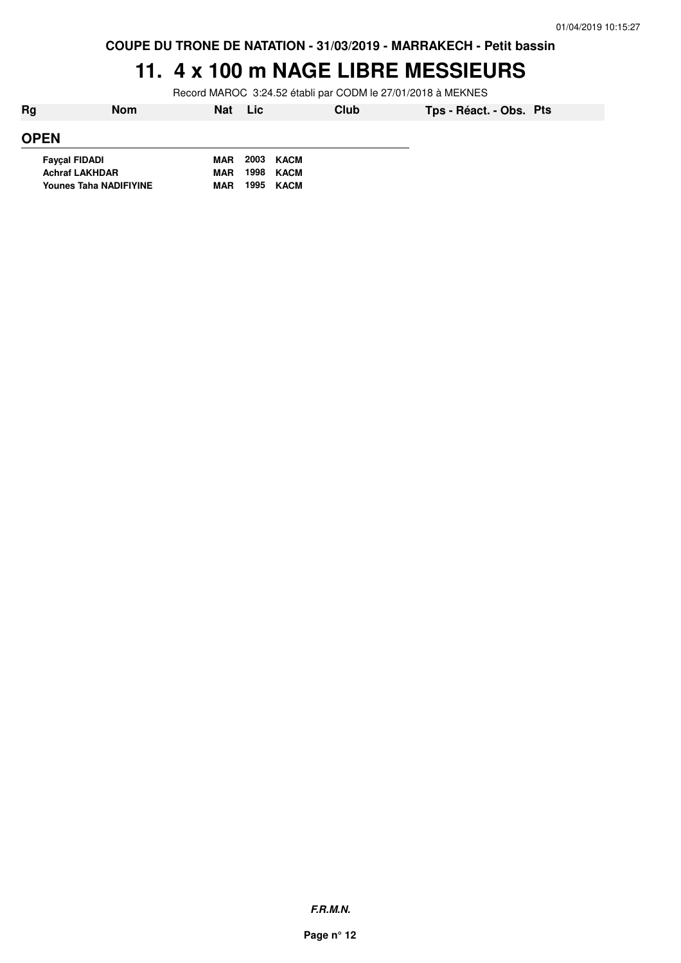#### **11. 4 x 100 m NAGE LIBRE MESSIEURS**

Record MAROC 3:24.52 établi par CODM le 27/01/2018 à MEKNES

| Rg                            | <b>Nom</b> | <b>Nat</b> | Lic  | Club      | Tps - Réact. - Obs. Pts |  |
|-------------------------------|------------|------------|------|-----------|-------------------------|--|
| <b>OPEN</b>                   |            |            |      |           |                         |  |
| <b>Fayçal FIDADI</b>          |            | <b>MAR</b> |      | 2003 KACM |                         |  |
| <b>Achraf LAKHDAR</b>         |            | <b>MAR</b> | 1998 | KACM      |                         |  |
| <b>Younes Taha NADIFIYINE</b> |            | <b>MAR</b> | 1995 | KACM      |                         |  |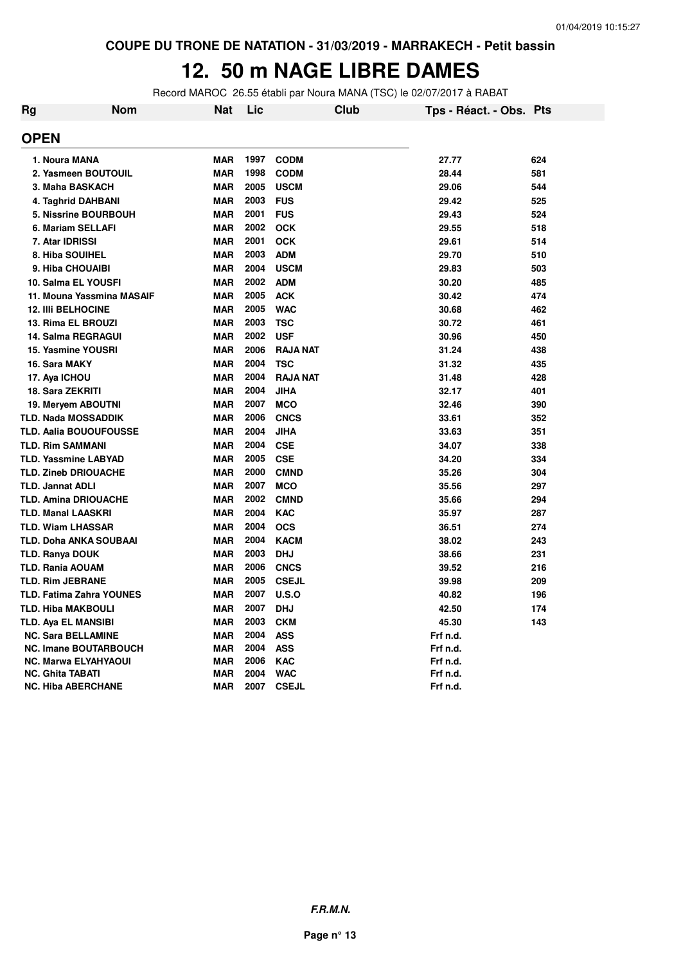# **12. 50 m NAGE LIBRE DAMES**

Record MAROC 26.55 établi par Noura MANA (TSC) le 02/07/2017 à RABAT

| Rg | <b>Nom</b>                      | Nat        | Lic  |                 | <b>Club</b> | Tps - Réact. - Obs. Pts |     |
|----|---------------------------------|------------|------|-----------------|-------------|-------------------------|-----|
|    | <b>OPEN</b>                     |            |      |                 |             |                         |     |
|    | 1. Noura MANA                   | <b>MAR</b> | 1997 | <b>CODM</b>     |             | 27.77                   | 624 |
|    | 2. Yasmeen BOUTOUIL             | <b>MAR</b> | 1998 | <b>CODM</b>     |             | 28.44                   | 581 |
|    | 3. Maha BASKACH                 | <b>MAR</b> | 2005 | <b>USCM</b>     |             | 29.06                   | 544 |
|    | 4. Taghrid DAHBANI              | <b>MAR</b> | 2003 | <b>FUS</b>      |             | 29.42                   | 525 |
|    | <b>5. Nissrine BOURBOUH</b>     | <b>MAR</b> | 2001 | <b>FUS</b>      |             | 29.43                   | 524 |
|    | 6. Mariam SELLAFI               | <b>MAR</b> | 2002 | <b>OCK</b>      |             | 29.55                   | 518 |
|    | 7. Atar IDRISSI                 | <b>MAR</b> | 2001 | <b>OCK</b>      |             | 29.61                   | 514 |
|    | 8. Hiba SOUIHEL                 | <b>MAR</b> | 2003 | <b>ADM</b>      |             | 29.70                   | 510 |
|    | 9. Hiba CHOUAIBI                | <b>MAR</b> | 2004 | <b>USCM</b>     |             | 29.83                   | 503 |
|    | 10. Salma EL YOUSFI             | <b>MAR</b> | 2002 | <b>ADM</b>      |             | 30.20                   | 485 |
|    | 11. Mouna Yassmina MASAIF       | <b>MAR</b> | 2005 | <b>ACK</b>      |             | 30.42                   | 474 |
|    | <b>12. IIII BELHOCINE</b>       | <b>MAR</b> | 2005 | <b>WAC</b>      |             | 30.68                   | 462 |
|    | 13. Rima EL BROUZI              | <b>MAR</b> | 2003 | <b>TSC</b>      |             | 30.72                   | 461 |
|    | <b>14. Salma REGRAGUI</b>       | <b>MAR</b> | 2002 | <b>USF</b>      |             | 30.96                   | 450 |
|    | <b>15. Yasmine YOUSRI</b>       | <b>MAR</b> | 2006 | <b>RAJA NAT</b> |             | 31.24                   | 438 |
|    | 16. Sara MAKY                   | <b>MAR</b> | 2004 | <b>TSC</b>      |             | 31.32                   | 435 |
|    | 17. Aya ICHOU                   | <b>MAR</b> | 2004 | <b>RAJA NAT</b> |             | 31.48                   | 428 |
|    | 18. Sara ZEKRITI                | <b>MAR</b> | 2004 | <b>JIHA</b>     |             | 32.17                   | 401 |
|    | 19. Meryem ABOUTNI              | <b>MAR</b> | 2007 | <b>MCO</b>      |             | 32.46                   | 390 |
|    | <b>TLD. Nada MOSSADDIK</b>      | MAR        | 2006 | <b>CNCS</b>     |             | 33.61                   | 352 |
|    | <b>TLD. Aalia BOUOUFOUSSE</b>   | <b>MAR</b> | 2004 | <b>JIHA</b>     |             | 33.63                   | 351 |
|    | <b>TLD. Rim SAMMANI</b>         | <b>MAR</b> | 2004 | <b>CSE</b>      |             | 34.07                   | 338 |
|    | <b>TLD. Yassmine LABYAD</b>     | <b>MAR</b> | 2005 | <b>CSE</b>      |             | 34.20                   | 334 |
|    | <b>TLD. Zineb DRIOUACHE</b>     | <b>MAR</b> | 2000 | <b>CMND</b>     |             | 35.26                   | 304 |
|    | <b>TLD. Jannat ADLI</b>         | <b>MAR</b> | 2007 | <b>MCO</b>      |             | 35.56                   | 297 |
|    | <b>TLD. Amina DRIOUACHE</b>     | <b>MAR</b> | 2002 | <b>CMND</b>     |             | 35.66                   | 294 |
|    | <b>TLD. Manal LAASKRI</b>       | <b>MAR</b> | 2004 | <b>KAC</b>      |             | 35.97                   | 287 |
|    | <b>TLD. Wiam LHASSAR</b>        | <b>MAR</b> | 2004 | <b>OCS</b>      |             | 36.51                   | 274 |
|    | <b>TLD. Doha ANKA SOUBAAI</b>   | <b>MAR</b> | 2004 | <b>KACM</b>     |             | 38.02                   | 243 |
|    | <b>TLD. Ranya DOUK</b>          | <b>MAR</b> | 2003 | <b>DHJ</b>      |             | 38.66                   | 231 |
|    | <b>TLD. Rania AOUAM</b>         | <b>MAR</b> | 2006 | <b>CNCS</b>     |             | 39.52                   | 216 |
|    | <b>TLD. Rim JEBRANE</b>         | <b>MAR</b> | 2005 | <b>CSEJL</b>    |             | 39.98                   | 209 |
|    | <b>TLD. Fatima Zahra YOUNES</b> | <b>MAR</b> | 2007 | U.S.O           |             | 40.82                   | 196 |
|    | <b>TLD. Hiba MAKBOULI</b>       | <b>MAR</b> | 2007 | <b>DHJ</b>      |             | 42.50                   | 174 |
|    | TLD. Aya EL MANSIBI             | <b>MAR</b> | 2003 | <b>CKM</b>      |             | 45.30                   | 143 |
|    | <b>NC. Sara BELLAMINE</b>       | <b>MAR</b> | 2004 | <b>ASS</b>      |             | Frf n.d.                |     |
|    | <b>NC. Imane BOUTARBOUCH</b>    | MAR        | 2004 | <b>ASS</b>      |             | Frf n.d.                |     |
|    | <b>NC. Marwa ELYAHYAOUI</b>     | <b>MAR</b> | 2006 | <b>KAC</b>      |             | Frf n.d.                |     |
|    | <b>NC. Ghita TABATI</b>         | <b>MAR</b> | 2004 | <b>WAC</b>      |             | Frf n.d.                |     |
|    | <b>NC. Hiba ABERCHANE</b>       | <b>MAR</b> | 2007 | <b>CSEJL</b>    |             | Frf n.d.                |     |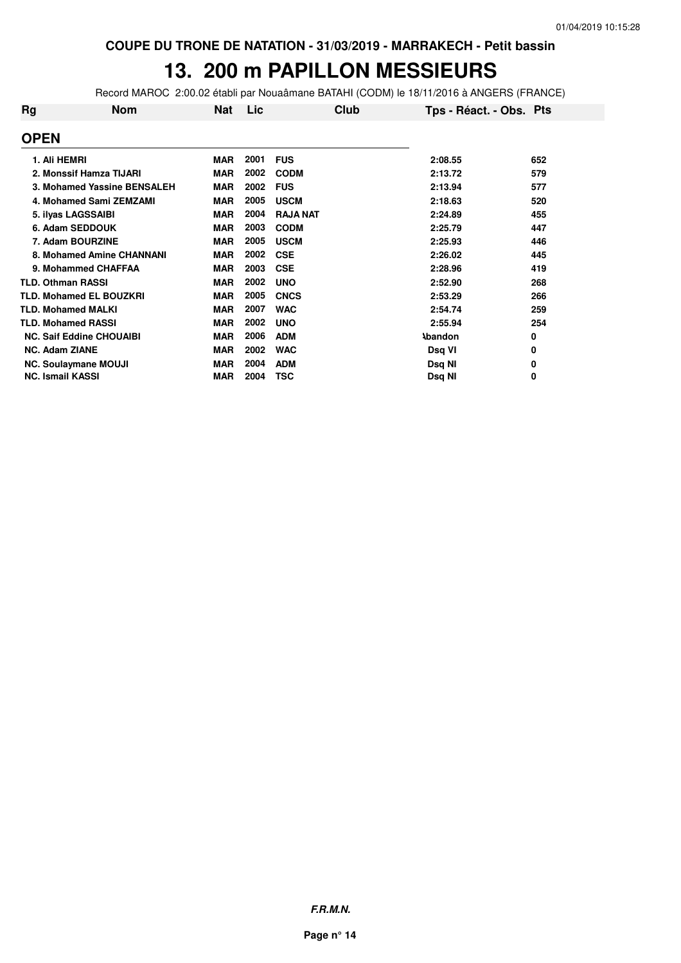### **13. 200 m PAPILLON MESSIEURS**

Record MAROC 2:00.02 établi par Nouaâmane BATAHI (CODM) le 18/11/2016 à ANGERS (FRANCE)

| Rg | Nom                             | Nat        | Lic  | Club            | Tps - Réact. - Obs. Pts |     |
|----|---------------------------------|------------|------|-----------------|-------------------------|-----|
|    | <b>OPEN</b>                     |            |      |                 |                         |     |
|    | 1. Ali HEMRI                    | <b>MAR</b> | 2001 | <b>FUS</b>      | 2:08.55                 | 652 |
|    | 2. Monssif Hamza TIJARI         | <b>MAR</b> | 2002 | <b>CODM</b>     | 2:13.72                 | 579 |
|    | 3. Mohamed Yassine BENSALEH     | <b>MAR</b> | 2002 | <b>FUS</b>      | 2:13.94                 | 577 |
|    | 4. Mohamed Sami ZEMZAMI         | <b>MAR</b> | 2005 | <b>USCM</b>     | 2:18.63                 | 520 |
|    | 5. ilyas LAGSSAIBI              | <b>MAR</b> | 2004 | <b>RAJA NAT</b> | 2:24.89                 | 455 |
|    | 6. Adam SEDDOUK                 | <b>MAR</b> | 2003 | <b>CODM</b>     | 2:25.79                 | 447 |
|    | 7. Adam BOURZINE                | <b>MAR</b> | 2005 | <b>USCM</b>     | 2:25.93                 | 446 |
|    | 8. Mohamed Amine CHANNANI       | <b>MAR</b> | 2002 | <b>CSE</b>      | 2:26.02                 | 445 |
|    | 9. Mohammed CHAFFAA             | <b>MAR</b> | 2003 | <b>CSE</b>      | 2:28.96                 | 419 |
|    | <b>TLD. Othman RASSI</b>        | <b>MAR</b> | 2002 | <b>UNO</b>      | 2:52.90                 | 268 |
|    | <b>TLD. Mohamed EL BOUZKRI</b>  | <b>MAR</b> | 2005 | <b>CNCS</b>     | 2:53.29                 | 266 |
|    | <b>TLD. Mohamed MALKI</b>       | <b>MAR</b> | 2007 | <b>WAC</b>      | 2:54.74                 | 259 |
|    | <b>TLD. Mohamed RASSI</b>       | <b>MAR</b> | 2002 | <b>UNO</b>      | 2:55.94                 | 254 |
|    | <b>NC. Saif Eddine CHOUAIBI</b> | <b>MAR</b> | 2006 | <b>ADM</b>      | <b>Abandon</b>          | 0   |
|    | <b>NC. Adam ZIANE</b>           | <b>MAR</b> | 2002 | <b>WAC</b>      | Dsq VI                  | 0   |
|    | <b>NC. Soulaymane MOUJI</b>     | <b>MAR</b> | 2004 | <b>ADM</b>      | Dsq NI                  | 0   |
|    | <b>NC. Ismail KASSI</b>         | MAR        | 2004 | TSC             | Dsq NI                  | 0   |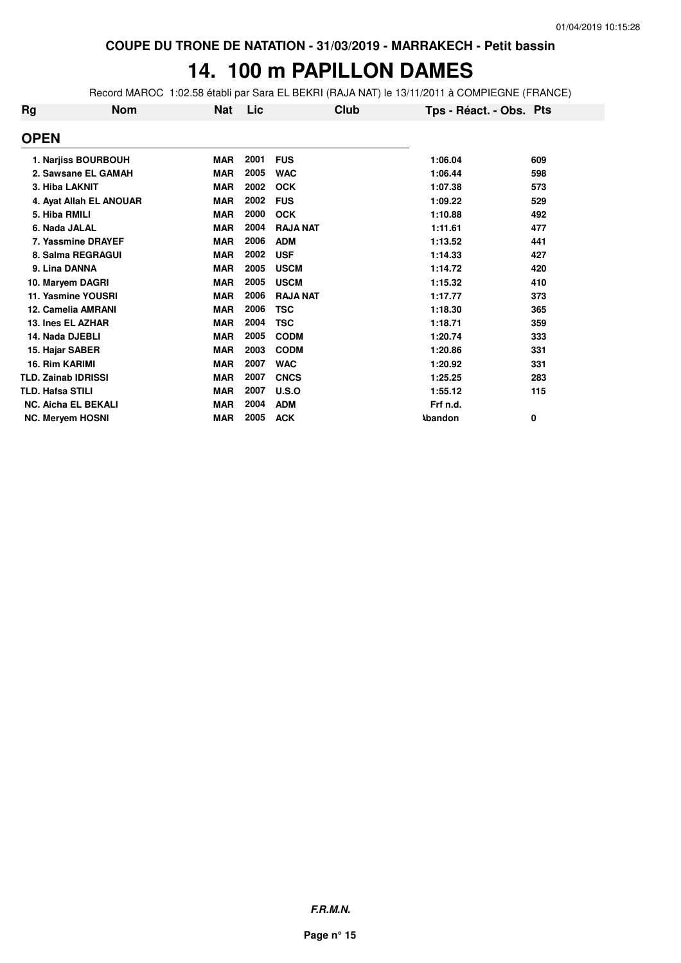# **14. 100 m PAPILLON DAMES**

Record MAROC 1:02.58 établi par Sara EL BEKRI (RAJA NAT) le 13/11/2011 à COMPIEGNE (FRANCE)

| <b>Rg</b> | <b>Nom</b>                 | <b>Nat</b> | Lic  | Club            | Tps - Réact. - Obs. Pts |     |
|-----------|----------------------------|------------|------|-----------------|-------------------------|-----|
|           | <b>OPEN</b>                |            |      |                 |                         |     |
|           | 1. Narjiss BOURBOUH        | <b>MAR</b> | 2001 | <b>FUS</b>      | 1:06.04                 | 609 |
|           | 2. Sawsane EL GAMAH        | <b>MAR</b> | 2005 | <b>WAC</b>      | 1:06.44                 | 598 |
|           | 3. Hiba LAKNIT             | <b>MAR</b> | 2002 | <b>OCK</b>      | 1:07.38                 | 573 |
|           | 4. Ayat Allah EL ANOUAR    | <b>MAR</b> | 2002 | <b>FUS</b>      | 1:09.22                 | 529 |
|           | 5. Hiba RMILI              | <b>MAR</b> | 2000 | <b>OCK</b>      | 1:10.88                 | 492 |
|           | 6. Nada JALAL              | <b>MAR</b> | 2004 | <b>RAJA NAT</b> | 1:11.61                 | 477 |
|           | 7. Yassmine DRAYEF         | <b>MAR</b> | 2006 | <b>ADM</b>      | 1:13.52                 | 441 |
|           | 8. Salma REGRAGUI          | <b>MAR</b> | 2002 | <b>USF</b>      | 1:14.33                 | 427 |
|           | 9. Lina DANNA              | <b>MAR</b> | 2005 | <b>USCM</b>     | 1:14.72                 | 420 |
|           | 10. Maryem DAGRI           | <b>MAR</b> | 2005 | <b>USCM</b>     | 1:15.32                 | 410 |
|           | 11. Yasmine YOUSRI         | <b>MAR</b> | 2006 | <b>RAJA NAT</b> | 1:17.77                 | 373 |
|           | 12. Camelia AMRANI         | <b>MAR</b> | 2006 | <b>TSC</b>      | 1:18.30                 | 365 |
|           | 13. Ines EL AZHAR          | <b>MAR</b> | 2004 | <b>TSC</b>      | 1:18.71                 | 359 |
|           | 14. Nada DJEBLI            | <b>MAR</b> | 2005 | <b>CODM</b>     | 1:20.74                 | 333 |
|           | 15. Hajar SABER            | <b>MAR</b> | 2003 | <b>CODM</b>     | 1:20.86                 | 331 |
|           | 16. Rim KARIMI             | <b>MAR</b> | 2007 | <b>WAC</b>      | 1:20.92                 | 331 |
|           | <b>TLD. Zainab IDRISSI</b> | <b>MAR</b> | 2007 | <b>CNCS</b>     | 1:25.25                 | 283 |
|           | <b>TLD. Hafsa STILI</b>    | <b>MAR</b> | 2007 | U.S.O           | 1:55.12                 | 115 |
|           | <b>NC. Aicha EL BEKALI</b> | <b>MAR</b> | 2004 | <b>ADM</b>      | Frf n.d.                |     |
|           | <b>NC. Meryem HOSNI</b>    | <b>MAR</b> | 2005 | <b>ACK</b>      | <b>Abandon</b>          | 0   |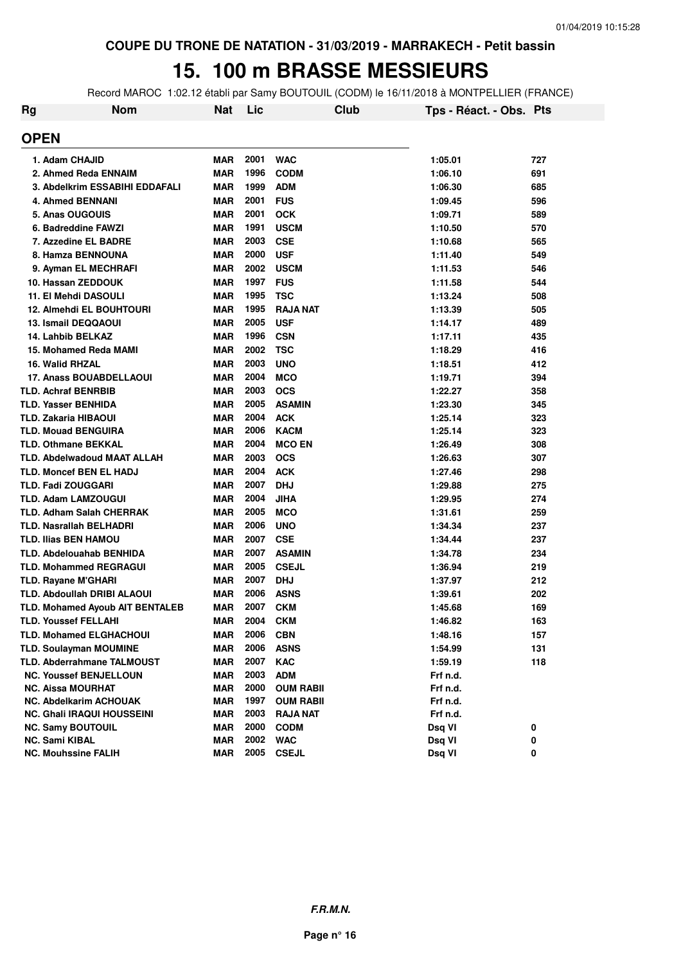# **15. 100 m BRASSE MESSIEURS**

Record MAROC 1:02.12 établi par Samy BOUTOUIL (CODM) le 16/11/2018 à MONTPELLIER (FRANCE)

| <b>Rg</b> | <b>Nom</b>                         | Nat        | Lic  | <b>Club</b>      | Tps - Réact. - Obs. Pts |     |
|-----------|------------------------------------|------------|------|------------------|-------------------------|-----|
|           | <b>OPEN</b>                        |            |      |                  |                         |     |
|           | 1. Adam CHAJID                     | <b>MAR</b> | 2001 | <b>WAC</b>       | 1:05.01                 | 727 |
|           | 2. Ahmed Reda ENNAIM               | <b>MAR</b> | 1996 | <b>CODM</b>      | 1:06.10                 | 691 |
|           | 3. Abdelkrim ESSABIHI EDDAFALI     | <b>MAR</b> | 1999 | <b>ADM</b>       | 1:06.30                 | 685 |
|           | 4. Ahmed BENNANI                   | <b>MAR</b> | 2001 | <b>FUS</b>       | 1:09.45                 | 596 |
|           | 5. Anas OUGOUIS                    | <b>MAR</b> | 2001 | <b>OCK</b>       | 1:09.71                 | 589 |
|           | 6. Badreddine FAWZI                | <b>MAR</b> | 1991 | <b>USCM</b>      | 1:10.50                 | 570 |
|           | 7. Azzedine EL BADRE               | <b>MAR</b> | 2003 | <b>CSE</b>       | 1:10.68                 | 565 |
|           | 8. Hamza BENNOUNA                  | <b>MAR</b> | 2000 | <b>USF</b>       | 1:11.40                 | 549 |
|           | 9. Ayman EL MECHRAFI               | <b>MAR</b> | 2002 | <b>USCM</b>      | 1:11.53                 | 546 |
|           | 10. Hassan ZEDDOUK                 | <b>MAR</b> | 1997 | <b>FUS</b>       | 1:11.58                 | 544 |
|           | 11. El Mehdi DASOULI               | <b>MAR</b> | 1995 | <b>TSC</b>       | 1:13.24                 | 508 |
|           | <b>12. Almehdi EL BOUHTOURI</b>    | <b>MAR</b> | 1995 | <b>RAJA NAT</b>  | 1:13.39                 | 505 |
|           | <b>13. Ismail DEQQAOUI</b>         | <b>MAR</b> | 2005 | <b>USF</b>       | 1:14.17                 | 489 |
|           | 14. Lahbib BELKAZ                  | <b>MAR</b> | 1996 | <b>CSN</b>       | 1:17.11                 | 435 |
|           | 15. Mohamed Reda MAMI              | <b>MAR</b> | 2002 | TSC              | 1:18.29                 | 416 |
|           | 16. Walid RHZAL                    | <b>MAR</b> | 2003 | <b>UNO</b>       | 1:18.51                 | 412 |
|           | <b>17. Anass BOUABDELLAOUI</b>     | <b>MAR</b> | 2004 | <b>MCO</b>       | 1:19.71                 | 394 |
|           | <b>TLD. Achraf BENRBIB</b>         | <b>MAR</b> | 2003 | <b>OCS</b>       | 1:22.27                 | 358 |
|           | <b>TLD. Yasser BENHIDA</b>         | <b>MAR</b> | 2005 | <b>ASAMIN</b>    | 1:23.30                 | 345 |
|           | <b>TLD. Zakaria HIBAOUI</b>        | <b>MAR</b> | 2004 | <b>ACK</b>       | 1:25.14                 | 323 |
|           | <b>TLD. Mouad BENGUIRA</b>         | <b>MAR</b> | 2006 | <b>KACM</b>      | 1:25.14                 | 323 |
|           | <b>TLD. Othmane BEKKAL</b>         | <b>MAR</b> | 2004 | <b>MCO EN</b>    | 1:26.49                 | 308 |
|           | <b>TLD. Abdelwadoud MAAT ALLAH</b> | <b>MAR</b> | 2003 | <b>OCS</b>       | 1:26.63                 | 307 |
|           | <b>TLD. Moncef BEN EL HADJ</b>     | <b>MAR</b> | 2004 | <b>ACK</b>       | 1:27.46                 | 298 |
|           | <b>TLD. Fadi ZOUGGARI</b>          | <b>MAR</b> | 2007 | <b>DHJ</b>       | 1:29.88                 | 275 |
|           | <b>TLD. Adam LAMZOUGUI</b>         | <b>MAR</b> | 2004 | JIHA             | 1:29.95                 | 274 |
|           | <b>TLD. Adham Salah CHERRAK</b>    | <b>MAR</b> | 2005 | <b>MCO</b>       | 1:31.61                 | 259 |
|           | <b>TLD. Nasrallah BELHADRI</b>     | <b>MAR</b> | 2006 | <b>UNO</b>       | 1:34.34                 | 237 |
|           | <b>TLD. Ilias BEN HAMOU</b>        | <b>MAR</b> | 2007 | <b>CSE</b>       | 1:34.44                 | 237 |
|           | <b>TLD. Abdelouahab BENHIDA</b>    | <b>MAR</b> | 2007 | <b>ASAMIN</b>    | 1:34.78                 | 234 |
|           | <b>TLD. Mohammed REGRAGUI</b>      | <b>MAR</b> | 2005 | <b>CSEJL</b>     | 1:36.94                 | 219 |
|           | <b>TLD. Rayane M'GHARI</b>         | <b>MAR</b> | 2007 | <b>DHJ</b>       | 1:37.97                 | 212 |
|           | TLD. Abdoullah DRIBI ALAOUI        | <b>MAR</b> | 2006 | <b>ASNS</b>      | 1:39.61                 | 202 |
|           | TLD. Mohamed Ayoub AIT BENTALEB    | <b>MAR</b> | 2007 | <b>CKM</b>       | 1:45.68                 | 169 |
|           | <b>TLD. Youssef FELLAHI</b>        | MAR        | 2004 | <b>CKM</b>       | 1:46.82                 | 163 |
|           | <b>TLD. Mohamed ELGHACHOUI</b>     | <b>MAR</b> | 2006 | <b>CBN</b>       | 1:48.16                 | 157 |
|           | <b>TLD. Soulayman MOUMINE</b>      | MAR        | 2006 | <b>ASNS</b>      | 1:54.99                 | 131 |
|           | <b>TLD. Abderrahmane TALMOUST</b>  | MAR        | 2007 | <b>KAC</b>       | 1:59.19                 | 118 |
|           | <b>NC. Youssef BENJELLOUN</b>      | <b>MAR</b> | 2003 | <b>ADM</b>       | Frf n.d.                |     |
|           | <b>NC. Aissa MOURHAT</b>           | <b>MAR</b> | 2000 | <b>OUM RABII</b> | Frf n.d.                |     |
|           | <b>NC. Abdelkarim ACHOUAK</b>      | <b>MAR</b> | 1997 | <b>OUM RABII</b> | Frf n.d.                |     |
|           | <b>NC. Ghali IRAQUI HOUSSEINI</b>  | <b>MAR</b> | 2003 | <b>RAJA NAT</b>  | Frf n.d.                |     |
|           | <b>NC. Samy BOUTOUIL</b>           | <b>MAR</b> | 2000 | <b>CODM</b>      | Dsq VI                  | 0   |
|           | <b>NC. Sami KIBAL</b>              | MAR        | 2002 | <b>WAC</b>       | Dsq VI                  | 0   |
|           | <b>NC. Mouhssine FALIH</b>         | <b>MAR</b> | 2005 | <b>CSEJL</b>     | Dsq VI                  | 0   |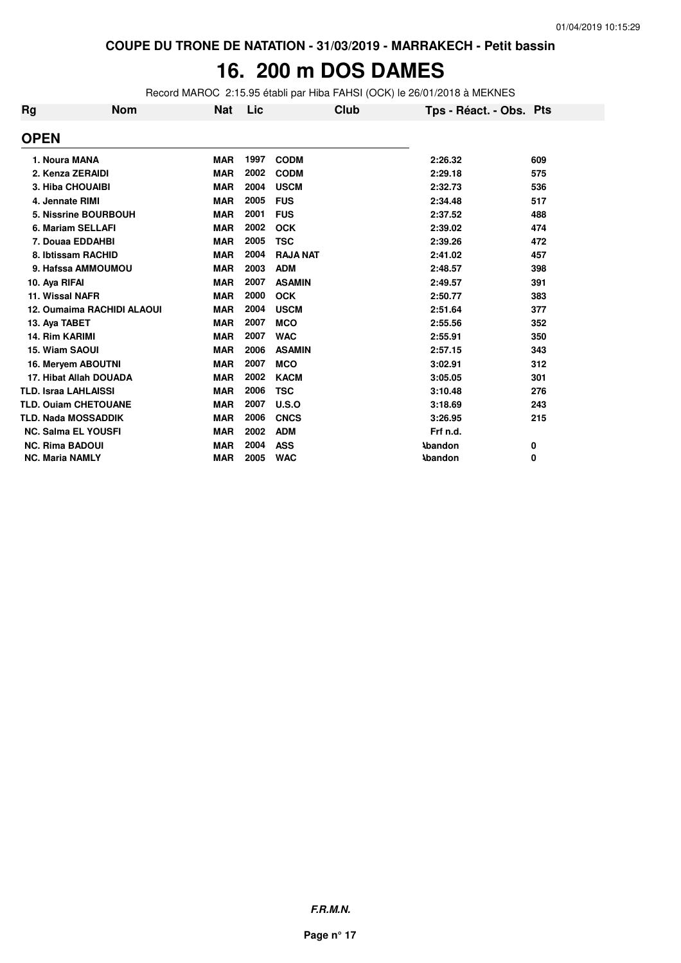#### 16. 200 m DOS DAMES

Record MAROC 2:15.95 établi par Hiba FAHSI (OCK) le 26/01/2018 à MEKNES

| Rg | <b>Nom</b>                        | Nat        | Lic  | Club            | Tps - Réact. - Obs. Pts |     |
|----|-----------------------------------|------------|------|-----------------|-------------------------|-----|
|    | <b>OPEN</b>                       |            |      |                 |                         |     |
|    | 1. Noura MANA                     | <b>MAR</b> | 1997 | <b>CODM</b>     | 2:26.32                 | 609 |
|    | 2. Kenza ZERAIDI                  | <b>MAR</b> | 2002 | <b>CODM</b>     | 2:29.18                 | 575 |
|    | <b>3. Hiba CHOUAIBI</b>           | <b>MAR</b> | 2004 | <b>USCM</b>     | 2:32.73                 | 536 |
|    | 4. Jennate RIMI                   | <b>MAR</b> | 2005 | <b>FUS</b>      | 2:34.48                 | 517 |
|    | 5. Nissrine BOURBOUH              | <b>MAR</b> | 2001 | <b>FUS</b>      | 2:37.52                 | 488 |
|    | 6. Mariam SELLAFI                 | <b>MAR</b> | 2002 | <b>OCK</b>      | 2:39.02                 | 474 |
|    | 7. Douaa EDDAHBI                  | <b>MAR</b> | 2005 | <b>TSC</b>      | 2:39.26                 | 472 |
|    | 8. Ibtissam RACHID                | <b>MAR</b> | 2004 | <b>RAJA NAT</b> | 2:41.02                 | 457 |
|    | 9. Hafssa AMMOUMOU                | <b>MAR</b> | 2003 | <b>ADM</b>      | 2:48.57                 | 398 |
|    | 10. Aya RIFAI                     | <b>MAR</b> | 2007 | <b>ASAMIN</b>   | 2:49.57                 | 391 |
|    | 11. Wissal NAFR                   | <b>MAR</b> | 2000 | <b>OCK</b>      | 2:50.77                 | 383 |
|    | <b>12. Oumaima RACHIDI ALAOUI</b> | <b>MAR</b> | 2004 | <b>USCM</b>     | 2:51.64                 | 377 |
|    | 13. Aya TABET                     | <b>MAR</b> | 2007 | <b>MCO</b>      | 2:55.56                 | 352 |
|    | 14. Rim KARIMI                    | <b>MAR</b> | 2007 | <b>WAC</b>      | 2:55.91                 | 350 |
|    | 15. Wiam SAOUI                    | <b>MAR</b> | 2006 | <b>ASAMIN</b>   | 2:57.15                 | 343 |
|    | 16. Meryem ABOUTNI                | <b>MAR</b> | 2007 | <b>MCO</b>      | 3:02.91                 | 312 |
|    | 17. Hibat Allah DOUADA            | <b>MAR</b> | 2002 | <b>KACM</b>     | 3:05.05                 | 301 |
|    | <b>TLD. Israa LAHLAISSI</b>       | <b>MAR</b> | 2006 | <b>TSC</b>      | 3:10.48                 | 276 |
|    | <b>TLD. Ouiam CHETOUANE</b>       | <b>MAR</b> | 2007 | U.S.O           | 3:18.69                 | 243 |
|    | <b>TLD. Nada MOSSADDIK</b>        | <b>MAR</b> | 2006 | <b>CNCS</b>     | 3:26.95                 | 215 |
|    | <b>NC. Salma EL YOUSFI</b>        | <b>MAR</b> | 2002 | <b>ADM</b>      | Frf n.d.                |     |
|    | <b>NC. Rima BADOUI</b>            | <b>MAR</b> | 2004 | <b>ASS</b>      | <b>Abandon</b>          | 0   |
|    | <b>NC. Maria NAMLY</b>            | <b>MAR</b> | 2005 | <b>WAC</b>      | <b>\bandon</b>          | 0   |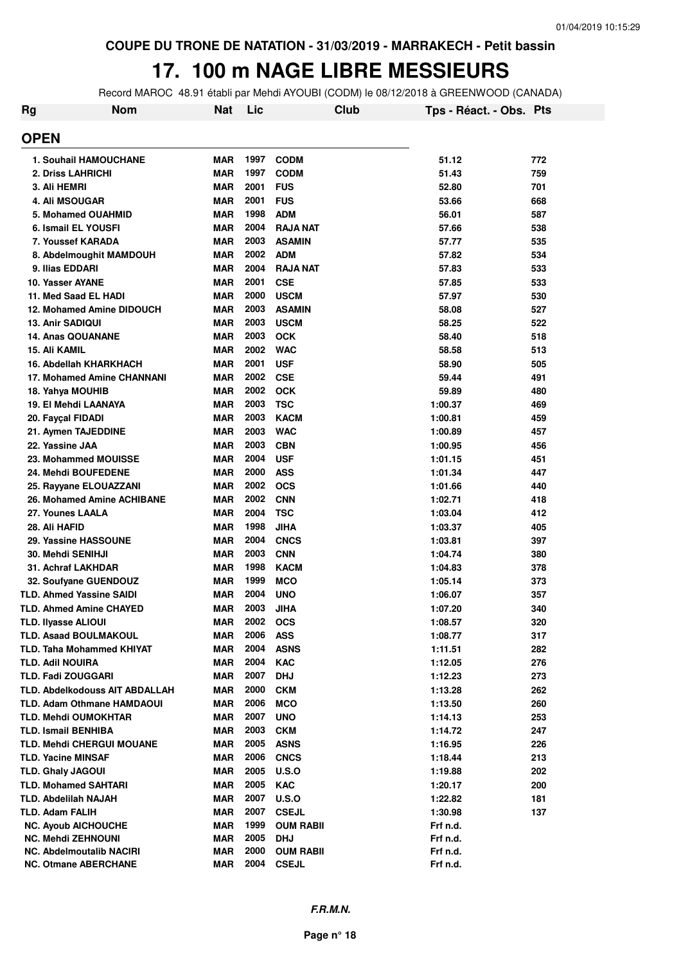### **17. 100 m NAGE LIBRE MESSIEURS**

Record MAROC 48.91 établi par Mehdi AYOUBI (CODM) le 08/12/2018 à GREENWOOD (CANADA)

| Rg | <b>Nom</b>                            | <b>Nat</b> | Lic  | Club             | Tps - Réact. - Obs. Pts |     |
|----|---------------------------------------|------------|------|------------------|-------------------------|-----|
|    | <b>OPEN</b>                           |            |      |                  |                         |     |
|    | <b>1. Souhail HAMOUCHANE</b>          | <b>MAR</b> | 1997 | <b>CODM</b>      | 51.12                   | 772 |
|    | 2. Driss LAHRICHI                     | <b>MAR</b> | 1997 | <b>CODM</b>      | 51.43                   | 759 |
|    | 3. Ali HEMRI                          | <b>MAR</b> | 2001 | <b>FUS</b>       | 52.80                   | 701 |
|    | 4. Ali MSOUGAR                        | <b>MAR</b> | 2001 | <b>FUS</b>       | 53.66                   | 668 |
|    | 5. Mohamed OUAHMID                    | <b>MAR</b> | 1998 | <b>ADM</b>       | 56.01                   | 587 |
|    | 6. Ismail EL YOUSFI                   | <b>MAR</b> | 2004 | <b>RAJA NAT</b>  | 57.66                   | 538 |
|    | 7. Youssef KARADA                     | <b>MAR</b> | 2003 | <b>ASAMIN</b>    | 57.77                   | 535 |
|    | 8. Abdelmoughit MAMDOUH               | <b>MAR</b> | 2002 | <b>ADM</b>       | 57.82                   | 534 |
|    | 9. Ilias EDDARI                       | <b>MAR</b> | 2004 | <b>RAJA NAT</b>  | 57.83                   | 533 |
|    | 10. Yasser AYANE                      | <b>MAR</b> | 2001 | <b>CSE</b>       | 57.85                   | 533 |
|    | 11. Med Saad EL HADI                  | <b>MAR</b> | 2000 | <b>USCM</b>      | 57.97                   | 530 |
|    | 12. Mohamed Amine DIDOUCH             | <b>MAR</b> | 2003 | <b>ASAMIN</b>    | 58.08                   | 527 |
|    | 13. Anir SADIQUI                      | <b>MAR</b> | 2003 | <b>USCM</b>      | 58.25                   | 522 |
|    | <b>14. Anas QOUANANE</b>              | <b>MAR</b> | 2003 | <b>OCK</b>       | 58.40                   | 518 |
|    | 15. Ali KAMIL                         | <b>MAR</b> | 2002 | <b>WAC</b>       | 58.58                   | 513 |
|    | 16. Abdellah KHARKHACH                | <b>MAR</b> | 2001 | <b>USF</b>       | 58.90                   | 505 |
|    | 17. Mohamed Amine CHANNANI            | <b>MAR</b> | 2002 | <b>CSE</b>       | 59.44                   | 491 |
|    | 18. Yahya MOUHIB                      | <b>MAR</b> | 2002 | <b>OCK</b>       | 59.89                   | 480 |
|    | 19. El Mehdi LAANAYA                  | <b>MAR</b> | 2003 | <b>TSC</b>       | 1:00.37                 | 469 |
|    | 20. Fayçal FIDADI                     | <b>MAR</b> | 2003 | <b>KACM</b>      | 1:00.81                 | 459 |
|    | 21. Aymen TAJEDDINE                   | <b>MAR</b> | 2003 | <b>WAC</b>       | 1:00.89                 | 457 |
|    | 22. Yassine JAA                       | <b>MAR</b> | 2003 | <b>CBN</b>       | 1:00.95                 | 456 |
|    | 23. Mohammed MOUISSE                  | <b>MAR</b> | 2004 | <b>USF</b>       | 1:01.15                 | 451 |
|    | 24. Mehdi BOUFEDENE                   | <b>MAR</b> | 2000 | <b>ASS</b>       | 1:01.34                 | 447 |
|    | 25. Rayyane ELOUAZZANI                | <b>MAR</b> | 2002 | <b>OCS</b>       | 1:01.66                 | 440 |
|    | 26. Mohamed Amine ACHIBANE            | <b>MAR</b> | 2002 | <b>CNN</b>       | 1:02.71                 | 418 |
|    | 27. Younes LAALA                      | <b>MAR</b> | 2004 | TSC              | 1:03.04                 | 412 |
|    | 28. Ali HAFID                         | <b>MAR</b> | 1998 | JIHA             | 1:03.37                 | 405 |
|    | 29. Yassine HASSOUNE                  | <b>MAR</b> | 2004 | <b>CNCS</b>      | 1:03.81                 | 397 |
|    | <b>30. Mehdi SENIHJI</b>              | <b>MAR</b> | 2003 | <b>CNN</b>       | 1:04.74                 | 380 |
|    | <b>31. Achraf LAKHDAR</b>             | <b>MAR</b> | 1998 | <b>KACM</b>      | 1:04.83                 | 378 |
|    | 32. Soufyane GUENDOUZ                 | <b>MAR</b> | 1999 | <b>MCO</b>       | 1:05.14                 | 373 |
|    | <b>TLD. Ahmed Yassine SAIDI</b>       | <b>MAR</b> | 2004 | <b>UNO</b>       | 1:06.07                 | 357 |
|    | <b>TLD. Ahmed Amine CHAYED</b>        | <b>MAR</b> | 2003 | JIHA             | 1:07.20                 | 340 |
|    | TLD. Ilyasse ALIOUI                   | <b>MAR</b> | 2002 | <b>OCS</b>       | 1:08.57                 | 320 |
|    | <b>TLD. Asaad BOULMAKOUL</b>          | MAR        | 2006 | <b>ASS</b>       | 1:08.77                 | 317 |
|    | <b>TLD. Taha Mohammed KHIYAT</b>      | MAR        | 2004 | <b>ASNS</b>      | 1:11.51                 | 282 |
|    | <b>TLD. Adil NOUIRA</b>               | <b>MAR</b> | 2004 | <b>KAC</b>       | 1:12.05                 | 276 |
|    | <b>TLD. Fadi ZOUGGARI</b>             | <b>MAR</b> | 2007 | <b>DHJ</b>       | 1:12.23                 | 273 |
|    | <b>TLD. Abdelkodouss AIT ABDALLAH</b> | <b>MAR</b> | 2000 | <b>CKM</b>       | 1:13.28                 | 262 |
|    | <b>TLD. Adam Othmane HAMDAOUI</b>     | <b>MAR</b> | 2006 | <b>MCO</b>       | 1:13.50                 | 260 |
|    | <b>TLD. Mehdi OUMOKHTAR</b>           | <b>MAR</b> | 2007 | <b>UNO</b>       | 1:14.13                 | 253 |
|    | <b>TLD. Ismail BENHIBA</b>            | <b>MAR</b> | 2003 | <b>CKM</b>       | 1:14.72                 | 247 |
|    | <b>TLD. Mehdi CHERGUI MOUANE</b>      | <b>MAR</b> | 2005 | <b>ASNS</b>      | 1:16.95                 | 226 |
|    | <b>TLD. Yacine MINSAF</b>             | <b>MAR</b> | 2006 | <b>CNCS</b>      | 1:18.44                 | 213 |
|    | <b>TLD. Ghaly JAGOUI</b>              | <b>MAR</b> | 2005 | <b>U.S.O</b>     | 1:19.88                 | 202 |
|    | <b>TLD. Mohamed SAHTARI</b>           | <b>MAR</b> | 2005 | <b>KAC</b>       | 1:20.17                 | 200 |
|    | <b>TLD. Abdelilah NAJAH</b>           | <b>MAR</b> | 2007 | <b>U.S.O</b>     | 1:22.82                 | 181 |
|    | <b>TLD. Adam FALIH</b>                | <b>MAR</b> | 2007 | <b>CSEJL</b>     | 1:30.98                 | 137 |
|    | <b>NC. Ayoub AICHOUCHE</b>            | <b>MAR</b> | 1999 | <b>OUM RABII</b> | Frf n.d.                |     |
|    | <b>NC. Mehdi ZEHNOUNI</b>             | MAR        | 2005 | <b>DHJ</b>       | Frf n.d.                |     |
|    | <b>NC. Abdelmoutalib NACIRI</b>       | MAR        | 2000 | <b>OUM RABII</b> | Frf n.d.                |     |
|    | <b>NC. Otmane ABERCHANE</b>           | MAR        | 2004 | <b>CSEJL</b>     | Frf n.d.                |     |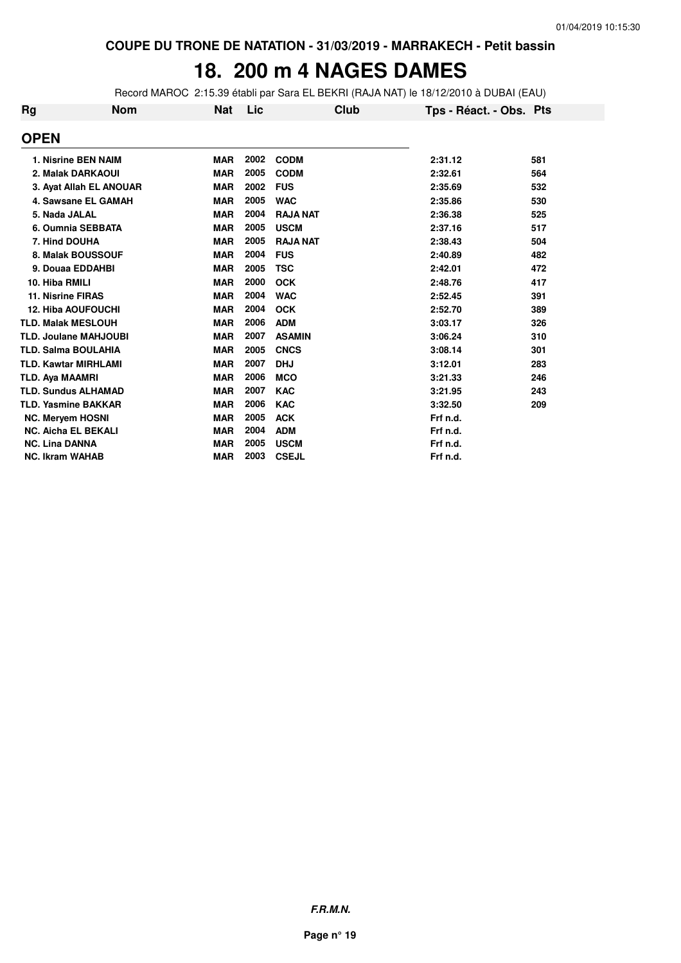### **18. 200 m 4 NAGES DAMES**

Record MAROC 2:15.39 établi par Sara EL BEKRI (RAJA NAT) le 18/12/2010 à DUBAI (EAU)

| <b>Rg</b> | <b>Nom</b>                   | <b>Nat</b> | Lic  | Club            | Tps - Réact. - Obs. Pts |     |
|-----------|------------------------------|------------|------|-----------------|-------------------------|-----|
|           | <b>OPEN</b>                  |            |      |                 |                         |     |
|           | 1. Nisrine BEN NAIM          | <b>MAR</b> | 2002 | <b>CODM</b>     | 2:31.12                 | 581 |
|           | 2. Malak DARKAOUI            | <b>MAR</b> | 2005 | <b>CODM</b>     | 2:32.61                 | 564 |
|           | 3. Ayat Allah EL ANOUAR      | <b>MAR</b> | 2002 | <b>FUS</b>      | 2:35.69                 | 532 |
|           | 4. Sawsane EL GAMAH          | <b>MAR</b> | 2005 | <b>WAC</b>      | 2:35.86                 | 530 |
|           | 5. Nada JALAL                | <b>MAR</b> | 2004 | <b>RAJA NAT</b> | 2:36.38                 | 525 |
|           | 6. Oumnia SEBBATA            | <b>MAR</b> | 2005 | <b>USCM</b>     | 2:37.16                 | 517 |
|           | 7. Hind DOUHA                | <b>MAR</b> | 2005 | <b>RAJA NAT</b> | 2:38.43                 | 504 |
|           | 8. Malak BOUSSOUF            | <b>MAR</b> | 2004 | <b>FUS</b>      | 2:40.89                 | 482 |
|           | 9. Douaa EDDAHBI             | <b>MAR</b> | 2005 | <b>TSC</b>      | 2:42.01                 | 472 |
|           | 10. Hiba RMILI               | <b>MAR</b> | 2000 | <b>OCK</b>      | 2:48.76                 | 417 |
|           | <b>11. Nisrine FIRAS</b>     | <b>MAR</b> | 2004 | <b>WAC</b>      | 2:52.45                 | 391 |
|           | <b>12. Hiba AOUFOUCHI</b>    | <b>MAR</b> | 2004 | <b>OCK</b>      | 2:52.70                 | 389 |
|           | <b>TLD. Malak MESLOUH</b>    | <b>MAR</b> | 2006 | <b>ADM</b>      | 3:03.17                 | 326 |
|           | <b>TLD. Joulane MAHJOUBI</b> | <b>MAR</b> | 2007 | <b>ASAMIN</b>   | 3:06.24                 | 310 |
|           | <b>TLD. Salma BOULAHIA</b>   | <b>MAR</b> | 2005 | <b>CNCS</b>     | 3:08.14                 | 301 |
|           | <b>TLD. Kawtar MIRHLAMI</b>  | <b>MAR</b> | 2007 | <b>DHJ</b>      | 3:12.01                 | 283 |
|           | <b>TLD. Aya MAAMRI</b>       | <b>MAR</b> | 2006 | <b>MCO</b>      | 3:21.33                 | 246 |
|           | <b>TLD. Sundus ALHAMAD</b>   | <b>MAR</b> | 2007 | <b>KAC</b>      | 3:21.95                 | 243 |
|           | <b>TLD. Yasmine BAKKAR</b>   | <b>MAR</b> | 2006 | <b>KAC</b>      | 3:32.50                 | 209 |
|           | <b>NC. Meryem HOSNI</b>      | <b>MAR</b> | 2005 | <b>ACK</b>      | Frf n.d.                |     |
|           | <b>NC. Aicha EL BEKALI</b>   | <b>MAR</b> | 2004 | <b>ADM</b>      | Frf n.d.                |     |
|           | <b>NC. Lina DANNA</b>        | <b>MAR</b> | 2005 | <b>USCM</b>     | Frf n.d.                |     |
|           | <b>NC. Ikram WAHAB</b>       | <b>MAR</b> | 2003 | <b>CSEJL</b>    | Frf n.d.                |     |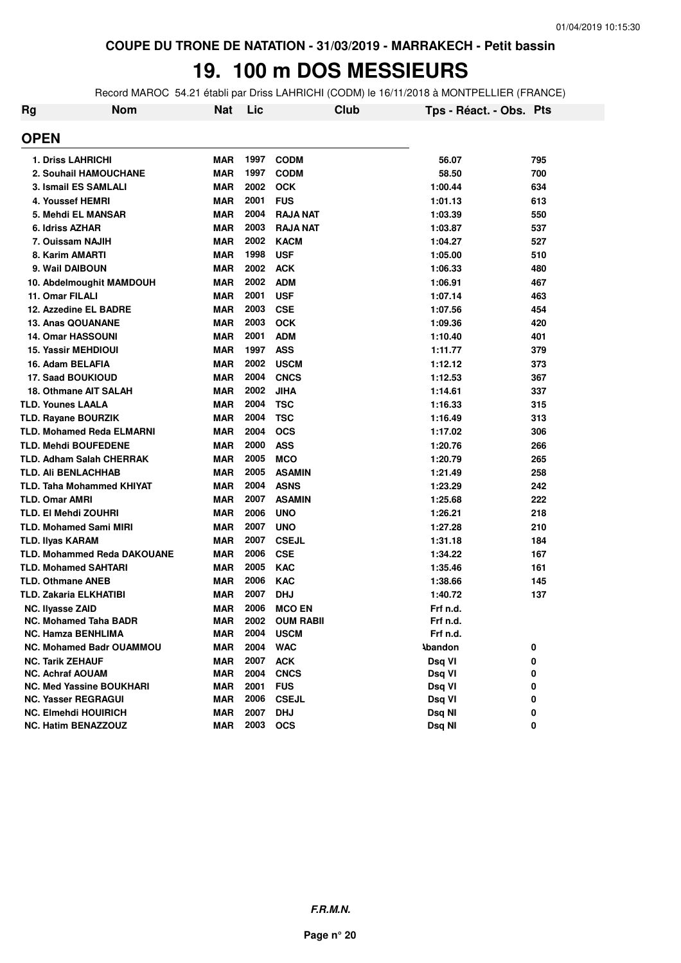### **19. 100 m DOS MESSIEURS**

Record MAROC 54.21 établi par Driss LAHRICHI (CODM) le 16/11/2018 à MONTPELLIER (FRANCE)

| Rg | <b>Nom</b>                         | <b>Nat</b> | Lic  | Club             | Tps - Réact. - Obs. Pts |     |
|----|------------------------------------|------------|------|------------------|-------------------------|-----|
|    | <b>OPEN</b>                        |            |      |                  |                         |     |
|    | <b>1. Driss LAHRICHI</b>           | <b>MAR</b> | 1997 | <b>CODM</b>      | 56.07                   | 795 |
|    | 2. Souhail HAMOUCHANE              | <b>MAR</b> | 1997 | <b>CODM</b>      | 58.50                   | 700 |
|    | <b>3. Ismail ES SAMLALI</b>        | <b>MAR</b> | 2002 | <b>OCK</b>       | 1:00.44                 | 634 |
|    | 4. Youssef HEMRI                   | <b>MAR</b> | 2001 | <b>FUS</b>       | 1:01.13                 | 613 |
|    | 5. Mehdi EL MANSAR                 | <b>MAR</b> | 2004 | <b>RAJA NAT</b>  | 1:03.39                 | 550 |
|    | 6. Idriss AZHAR                    | <b>MAR</b> | 2003 | <b>RAJA NAT</b>  | 1:03.87                 | 537 |
|    | 7. Ouissam NAJIH                   | <b>MAR</b> | 2002 | <b>KACM</b>      | 1:04.27                 | 527 |
|    | 8. Karim AMARTI                    | <b>MAR</b> | 1998 | <b>USF</b>       | 1:05.00                 | 510 |
|    | 9. Wail DAIBOUN                    | <b>MAR</b> | 2002 | <b>ACK</b>       | 1:06.33                 | 480 |
|    | 10. Abdelmoughit MAMDOUH           | <b>MAR</b> | 2002 | <b>ADM</b>       | 1:06.91                 | 467 |
|    | 11. Omar FILALI                    | <b>MAR</b> | 2001 | <b>USF</b>       | 1:07.14                 | 463 |
|    | 12. Azzedine EL BADRE              | <b>MAR</b> | 2003 | <b>CSE</b>       | 1:07.56                 | 454 |
|    | <b>13. Anas QOUANANE</b>           | <b>MAR</b> | 2003 | <b>OCK</b>       | 1:09.36                 | 420 |
|    | <b>14. Omar HASSOUNI</b>           | <b>MAR</b> | 2001 | <b>ADM</b>       | 1:10.40                 | 401 |
|    | 15. Yassir MEHDIOUI                | <b>MAR</b> | 1997 | <b>ASS</b>       | 1:11.77                 | 379 |
|    | 16. Adam BELAFIA                   | <b>MAR</b> | 2002 | <b>USCM</b>      | 1:12.12                 | 373 |
|    | 17. Saad BOUKIOUD                  | <b>MAR</b> | 2004 | <b>CNCS</b>      | 1:12.53                 | 367 |
|    | 18. Othmane AIT SALAH              | <b>MAR</b> | 2002 | <b>JIHA</b>      | 1:14.61                 | 337 |
|    | <b>TLD. Younes LAALA</b>           | <b>MAR</b> | 2004 | <b>TSC</b>       | 1:16.33                 | 315 |
|    | <b>TLD. Rayane BOURZIK</b>         | <b>MAR</b> | 2004 | <b>TSC</b>       | 1:16.49                 | 313 |
|    | <b>TLD. Mohamed Reda ELMARNI</b>   | <b>MAR</b> | 2004 | <b>OCS</b>       | 1:17.02                 | 306 |
|    | <b>TLD. Mehdi BOUFEDENE</b>        | <b>MAR</b> | 2000 | <b>ASS</b>       | 1:20.76                 | 266 |
|    | <b>TLD. Adham Salah CHERRAK</b>    | <b>MAR</b> | 2005 | <b>MCO</b>       | 1:20.79                 | 265 |
|    | <b>TLD. AII BENLACHHAB</b>         | <b>MAR</b> | 2005 | <b>ASAMIN</b>    | 1:21.49                 | 258 |
|    | <b>TLD. Taha Mohammed KHIYAT</b>   | <b>MAR</b> | 2004 | <b>ASNS</b>      | 1:23.29                 | 242 |
|    | <b>TLD. Omar AMRI</b>              | <b>MAR</b> | 2007 | <b>ASAMIN</b>    | 1:25.68                 | 222 |
|    | TLD. EI Mehdi ZOUHRI               | <b>MAR</b> | 2006 | <b>UNO</b>       | 1:26.21                 | 218 |
|    | <b>TLD. Mohamed Sami MIRI</b>      | <b>MAR</b> | 2007 | <b>UNO</b>       | 1:27.28                 | 210 |
|    | <b>TLD. Ilyas KARAM</b>            | <b>MAR</b> | 2007 | <b>CSEJL</b>     | 1:31.18                 | 184 |
|    | <b>TLD. Mohammed Reda DAKOUANE</b> | <b>MAR</b> | 2006 | <b>CSE</b>       | 1:34.22                 | 167 |
|    | <b>TLD. Mohamed SAHTARI</b>        | <b>MAR</b> | 2005 | <b>KAC</b>       | 1:35.46                 | 161 |
|    | <b>TLD. Othmane ANEB</b>           | <b>MAR</b> | 2006 | <b>KAC</b>       | 1:38.66                 | 145 |
|    | TLD. Zakaria ELKHATIBI             | <b>MAR</b> | 2007 | <b>DHJ</b>       | 1:40.72                 | 137 |
|    | <b>NC. Ilyasse ZAID</b>            | <b>MAR</b> | 2006 | <b>MCO EN</b>    | Frf n.d.                |     |
|    | <b>NC. Mohamed Taha BADR</b>       | MAR        | 2002 | <b>OUM RABII</b> | Frf n.d.                |     |
|    | <b>NC. Hamza BENHLIMA</b>          | <b>MAR</b> | 2004 | <b>USCM</b>      | Frf n.d.                |     |
|    | <b>NC. Mohamed Badr OUAMMOU</b>    | <b>MAR</b> | 2004 | <b>WAC</b>       | <b>Abandon</b>          | 0   |
|    | <b>NC. Tarik ZEHAUF</b>            | <b>MAR</b> | 2007 | <b>ACK</b>       | Dsq VI                  | 0   |
|    | <b>NC. Achraf AOUAM</b>            | MAR        | 2004 | <b>CNCS</b>      | Dsq VI                  | 0   |
|    | <b>NC. Med Yassine BOUKHARI</b>    | <b>MAR</b> | 2001 | <b>FUS</b>       | Dsq VI                  | 0   |
|    | <b>NC. Yasser REGRAGUI</b>         | <b>MAR</b> | 2006 | <b>CSEJL</b>     | Dsq VI                  | 0   |
|    | <b>NC. Elmehdi HOUIRICH</b>        | <b>MAR</b> | 2007 | <b>DHJ</b>       | Dsq NI                  | 0   |
|    | <b>NC. Hatim BENAZZOUZ</b>         | <b>MAR</b> | 2003 | <b>OCS</b>       | Dsq NI                  | 0   |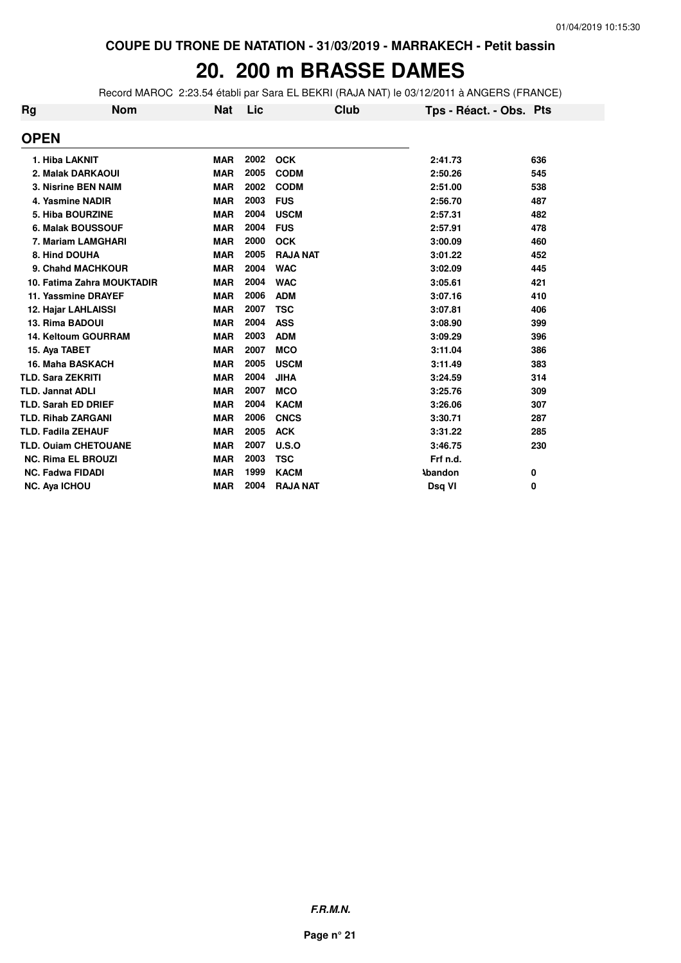### **20. 200 m BRASSE DAMES**

Record MAROC 2:23.54 établi par Sara EL BEKRI (RAJA NAT) le 03/12/2011 à ANGERS (FRANCE)

| Rg | <b>Nom</b>                  | <b>Nat</b> | Lic  | Club            | Tps - Réact. - Obs. Pts |          |
|----|-----------------------------|------------|------|-----------------|-------------------------|----------|
|    | <b>OPEN</b>                 |            |      |                 |                         |          |
|    | 1. Hiba LAKNIT              | <b>MAR</b> | 2002 | <b>OCK</b>      | 2:41.73                 | 636      |
|    | 2. Malak DARKAOUI           | <b>MAR</b> | 2005 | <b>CODM</b>     | 2:50.26                 | 545      |
|    | 3. Nisrine BEN NAIM         | <b>MAR</b> | 2002 | <b>CODM</b>     | 2:51.00                 | 538      |
|    | 4. Yasmine NADIR            | <b>MAR</b> | 2003 | <b>FUS</b>      | 2:56.70                 | 487      |
|    | 5. Hiba BOURZINE            | <b>MAR</b> | 2004 | <b>USCM</b>     | 2:57.31                 | 482      |
|    | 6. Malak BOUSSOUF           | <b>MAR</b> | 2004 | <b>FUS</b>      | 2:57.91                 | 478      |
|    | 7. Mariam LAMGHARI          | <b>MAR</b> | 2000 | <b>OCK</b>      | 3:00.09                 | 460      |
|    | 8. Hind DOUHA               | <b>MAR</b> | 2005 | <b>RAJA NAT</b> | 3:01.22                 | 452      |
|    | 9. Chahd MACHKOUR           | <b>MAR</b> | 2004 | <b>WAC</b>      | 3:02.09                 | 445      |
|    | 10. Fatima Zahra MOUKTADIR  | <b>MAR</b> | 2004 | <b>WAC</b>      | 3:05.61                 | 421      |
|    | 11. Yassmine DRAYEF         | <b>MAR</b> | 2006 | <b>ADM</b>      | 3:07.16                 | 410      |
|    | 12. Hajar LAHLAISSI         | <b>MAR</b> | 2007 | <b>TSC</b>      | 3:07.81                 | 406      |
|    | 13. Rima BADOUI             | <b>MAR</b> | 2004 | <b>ASS</b>      | 3:08.90                 | 399      |
|    | 14. Keltoum GOURRAM         | <b>MAR</b> | 2003 | <b>ADM</b>      | 3:09.29                 | 396      |
|    | 15. Aya TABET               | <b>MAR</b> | 2007 | <b>MCO</b>      | 3:11.04                 | 386      |
|    | 16. Maha BASKACH            | <b>MAR</b> | 2005 | <b>USCM</b>     | 3:11.49                 | 383      |
|    | <b>TLD. Sara ZEKRITI</b>    | <b>MAR</b> | 2004 | <b>JIHA</b>     | 3:24.59                 | 314      |
|    | <b>TLD. Jannat ADLI</b>     | <b>MAR</b> | 2007 | <b>MCO</b>      | 3:25.76                 | 309      |
|    | <b>TLD. Sarah ED DRIEF</b>  | <b>MAR</b> | 2004 | <b>KACM</b>     | 3:26.06                 | 307      |
|    | <b>TLD. Rihab ZARGANI</b>   | <b>MAR</b> | 2006 | <b>CNCS</b>     | 3:30.71                 | 287      |
|    | <b>TLD. Fadila ZEHAUF</b>   | <b>MAR</b> | 2005 | <b>ACK</b>      | 3:31.22                 | 285      |
|    | <b>TLD. Ouiam CHETOUANE</b> | <b>MAR</b> | 2007 | U.S.O           | 3:46.75                 | 230      |
|    | <b>NC. Rima EL BROUZI</b>   | <b>MAR</b> | 2003 | <b>TSC</b>      | Frf n.d.                |          |
|    | <b>NC. Fadwa FIDADI</b>     | <b>MAR</b> | 1999 | <b>KACM</b>     | <b>Abandon</b>          | 0        |
|    | <b>NC. Ava ICHOU</b>        | <b>MAR</b> | 2004 | <b>RAJA NAT</b> | Dsg VI                  | $\bf{0}$ |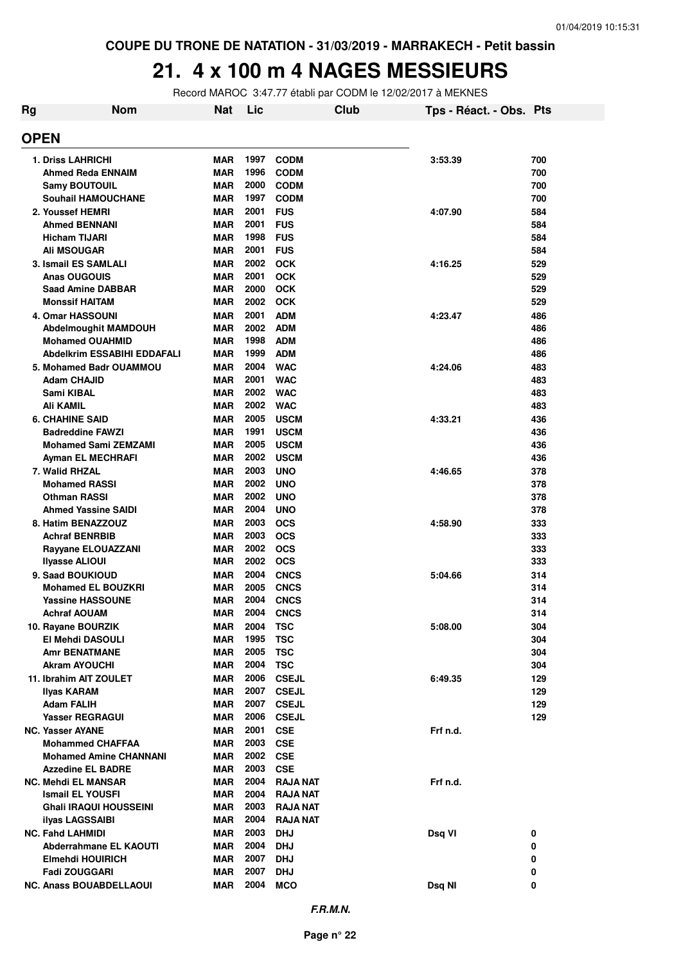# **21. 4 x 100 m 4 NAGES MESSIEURS**

Record MAROC 3:47.77 établi par CODM le 12/02/2017 à MEKNES

| Rg | <b>Nom</b>                                        | Nat                      | Lic          |                              | Club | Tps - Réact. - Obs. Pts |            |
|----|---------------------------------------------------|--------------------------|--------------|------------------------------|------|-------------------------|------------|
|    | <b>OPEN</b>                                       |                          |              |                              |      |                         |            |
|    | <b>1. Driss LAHRICHI</b>                          | <b>MAR</b>               | 1997         | <b>CODM</b>                  |      | 3:53.39                 | 700        |
|    | <b>Ahmed Reda ENNAIM</b>                          | <b>MAR</b>               | 1996         | <b>CODM</b>                  |      |                         | 700        |
|    | <b>Samy BOUTOUIL</b>                              | <b>MAR</b>               | 2000         | <b>CODM</b>                  |      |                         | 700        |
|    | <b>Souhail HAMOUCHANE</b>                         | <b>MAR</b>               | 1997         | <b>CODM</b>                  |      |                         | 700        |
|    | 2. Youssef HEMRI                                  | <b>MAR</b>               | 2001         | <b>FUS</b>                   |      | 4:07.90                 | 584        |
|    | <b>Ahmed BENNANI</b>                              | <b>MAR</b>               | 2001         | <b>FUS</b>                   |      |                         | 584        |
|    | <b>Hicham TIJARI</b>                              | <b>MAR</b>               | 1998         | <b>FUS</b>                   |      |                         | 584        |
|    | <b>Ali MSOUGAR</b>                                | <b>MAR</b>               | 2001         | <b>FUS</b>                   |      |                         | 584        |
|    | 3. Ismail ES SAMLALI                              | <b>MAR</b>               |              | 2002 OCK                     |      | 4:16.25                 | 529        |
|    | <b>Anas OUGOUIS</b>                               | <b>MAR</b>               | 2001<br>2000 | <b>OCK</b><br><b>OCK</b>     |      |                         | 529        |
|    | <b>Saad Amine DABBAR</b><br><b>Monssif HAITAM</b> | <b>MAR</b><br><b>MAR</b> | 2002         | <b>OCK</b>                   |      |                         | 529<br>529 |
|    | <b>4. Omar HASSOUNI</b>                           | <b>MAR</b>               | 2001         | <b>ADM</b>                   |      | 4:23.47                 | 486        |
|    | Abdelmoughit MAMDOUH                              | <b>MAR</b>               | 2002         | <b>ADM</b>                   |      |                         | 486        |
|    | <b>Mohamed OUAHMID</b>                            | <b>MAR</b>               | 1998         | <b>ADM</b>                   |      |                         | 486        |
|    | <b>Abdelkrim ESSABIHI EDDAFALI</b>                | <b>MAR</b>               | 1999         | <b>ADM</b>                   |      |                         | 486        |
|    | 5. Mohamed Badr OUAMMOU                           | <b>MAR</b>               | 2004         | <b>WAC</b>                   |      | 4:24.06                 | 483        |
|    | <b>Adam CHAJID</b>                                | <b>MAR</b>               | 2001         | <b>WAC</b>                   |      |                         | 483        |
|    | Sami KIBAL                                        | <b>MAR</b>               | 2002         | <b>WAC</b>                   |      |                         | 483        |
|    | Ali KAMIL                                         | <b>MAR</b>               | 2002         | <b>WAC</b>                   |      |                         | 483        |
|    | <b>6. CHAHINE SAID</b>                            | <b>MAR</b>               | 2005         | <b>USCM</b>                  |      | 4:33.21                 | 436        |
|    | <b>Badreddine FAWZI</b>                           | <b>MAR</b>               | 1991         | <b>USCM</b>                  |      |                         | 436        |
|    | <b>Mohamed Sami ZEMZAMI</b>                       | <b>MAR</b>               | 2005         | <b>USCM</b>                  |      |                         | 436        |
|    | Ayman EL MECHRAFI                                 | <b>MAR</b>               | 2002         | <b>USCM</b>                  |      |                         | 436        |
|    | 7. Walid RHZAL                                    | <b>MAR</b>               | 2003         | <b>UNO</b>                   |      | 4:46.65                 | 378        |
|    | <b>Mohamed RASSI</b><br><b>Othman RASSI</b>       | <b>MAR</b>               | 2002<br>2002 | <b>UNO</b><br><b>UNO</b>     |      |                         | 378<br>378 |
|    | <b>Ahmed Yassine SAIDI</b>                        | MAR<br><b>MAR</b>        | 2004         | <b>UNO</b>                   |      |                         | 378        |
|    | 8. Hatim BENAZZOUZ                                | <b>MAR</b>               | 2003         | <b>OCS</b>                   |      | 4:58.90                 | 333        |
|    | <b>Achraf BENRBIB</b>                             | <b>MAR</b>               | 2003         | <b>OCS</b>                   |      |                         | 333        |
|    | Rayyane ELOUAZZANI                                | <b>MAR</b>               | 2002         | <b>OCS</b>                   |      |                         | 333        |
|    | <b>Ilyasse ALIOUI</b>                             | <b>MAR</b>               | 2002         | <b>OCS</b>                   |      |                         | 333        |
|    | 9. Saad BOUKIOUD                                  | <b>MAR</b>               | 2004         | <b>CNCS</b>                  |      | 5:04.66                 | 314        |
|    | <b>Mohamed EL BOUZKRI</b>                         | <b>MAR</b>               | 2005         | <b>CNCS</b>                  |      |                         | 314        |
|    | <b>Yassine HASSOUNE</b>                           | <b>MAR</b>               | 2004         | <b>CNCS</b>                  |      |                         | 314        |
|    | <b>Achraf AOUAM</b>                               | <b>MAR</b>               | 2004         | <b>CNCS</b>                  |      |                         | 314        |
|    | 10. Rayane BOURZIK                                | MAR                      | 2004         | <b>TSC</b>                   |      | 5:08.00                 | 304        |
|    | El Mehdi DASOULI                                  | <b>MAR</b>               | 1995         | <b>TSC</b>                   |      |                         | 304        |
|    | <b>Amr BENATMANE</b>                              | <b>MAR</b>               | 2005         | <b>TSC</b>                   |      |                         | 304        |
|    | <b>Akram AYOUCHI</b>                              | <b>MAR</b>               | 2004         | <b>TSC</b>                   |      |                         | 304        |
|    | 11. Ibrahim AIT ZOULET                            | <b>MAR</b>               | 2006         | <b>CSEJL</b>                 |      | 6:49.35                 | 129        |
|    | Ilyas KARAM<br><b>Adam FALIH</b>                  | <b>MAR</b><br><b>MAR</b> | 2007<br>2007 | <b>CSEJL</b><br><b>CSEJL</b> |      |                         | 129<br>129 |
|    | <b>Yasser REGRAGUI</b>                            | <b>MAR</b>               | 2006         | <b>CSEJL</b>                 |      |                         | 129        |
|    | <b>NC. Yasser AYANE</b>                           | <b>MAR</b>               | 2001         | <b>CSE</b>                   |      | Frf n.d.                |            |
|    | <b>Mohammed CHAFFAA</b>                           | <b>MAR</b>               | 2003         | <b>CSE</b>                   |      |                         |            |
|    | <b>Mohamed Amine CHANNANI</b>                     | <b>MAR</b>               | 2002         | <b>CSE</b>                   |      |                         |            |
|    | <b>Azzedine EL BADRE</b>                          | <b>MAR</b>               | 2003         | <b>CSE</b>                   |      |                         |            |
|    | <b>NC. Mehdi EL MANSAR</b>                        | <b>MAR</b>               | 2004         | <b>RAJA NAT</b>              |      | Frf n.d.                |            |
|    | Ismail EL YOUSFI                                  | <b>MAR</b>               | 2004         | <b>RAJA NAT</b>              |      |                         |            |
|    | <b>Ghali IRAQUI HOUSSEINI</b>                     | <b>MAR</b>               | 2003         | <b>RAJA NAT</b>              |      |                         |            |
|    | ilyas LAGSSAIBI                                   | <b>MAR</b>               | 2004         | <b>RAJA NAT</b>              |      |                         |            |
|    | <b>NC. Fahd LAHMIDI</b>                           | <b>MAR</b>               | 2003         | <b>DHJ</b>                   |      | Dsq VI                  | 0          |
|    | Abderrahmane EL KAOUTI                            | <b>MAR</b>               | 2004         | <b>DHJ</b>                   |      |                         | 0          |
|    | Elmehdi HOUIRICH                                  | <b>MAR</b>               | 2007         | <b>DHJ</b>                   |      |                         | 0          |
|    | Fadi ZOUGGARI                                     | <b>MAR</b>               | 2007<br>2004 | <b>DHJ</b>                   |      |                         | 0          |
|    | <b>NC. Anass BOUABDELLAOUI</b>                    | <b>MAR</b>               |              | <b>MCO</b>                   |      | Dsq NI                  | 0          |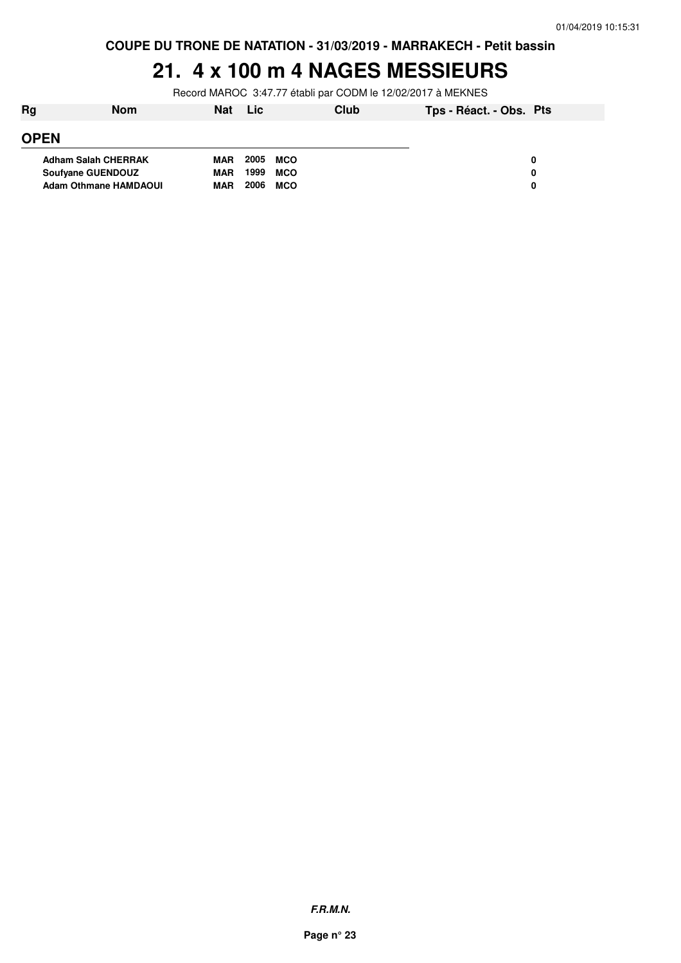# **21. 4 x 100 m 4 NAGES MESSIEURS**

Record MAROC 3:47.77 établi par CODM le 12/02/2017 à MEKNES

| Rg                           | <b>Nom</b> | <b>Nat</b> | Lic  | Club       | Tps - Réact. - Obs. Pts |   |
|------------------------------|------------|------------|------|------------|-------------------------|---|
| <b>OPEN</b>                  |            |            |      |            |                         |   |
| <b>Adham Salah CHERRAK</b>   |            | <b>MAR</b> | 2005 | MCO        |                         | 0 |
| <b>Soufvane GUENDOUZ</b>     |            | <b>MAR</b> | 1999 | <b>MCO</b> |                         | 0 |
| <b>Adam Othmane HAMDAOUI</b> |            | <b>MAR</b> | 2006 | <b>MCO</b> |                         | 0 |